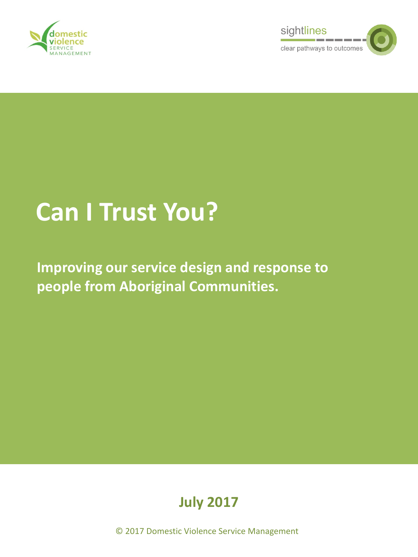



# **Can I Trust You?**

**Improving our service design and response to people from Aboriginal Communities.**



© 2017 Domestic Violence Service Management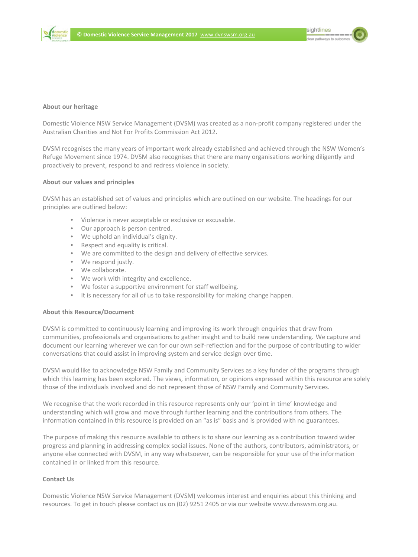sightlines



#### **About our heritage**

Domestic Violence NSW Service Management (DVSM) was created as a non-profit company registered under the Australian Charities and Not For Profits Commission Act 2012.

DVSM recognises the many years of important work already established and achieved through the NSW Women's Refuge Movement since 1974. DVSM also recognises that there are many organisations working diligently and proactively to prevent, respond to and redress violence in society.

#### **About our values and principles**

**POSITIES AT ESTABLISHED SET OF VANCES AND PINCIPIES WHICH ATE OUT.**<br>
• Violence is never acceptable or exclusive or excusable. DVSM has an established set of values and principles which are outlined on our website. The headings for our principles are outlined below:

- 
- Our approach is person centred.
- We uphold an individual's dignity.
- Respect and equality is critical.
- We are committed to the design and delivery of effective services.
- We respond justly.
- We respond justly.<br>• We collaborate. We collaborate.
	- We work with integrity and excellence.
- We work with integrity and excellence.<br>• We foster a supportive environment for staff wellbeing.<br>• We foster a supportive environment for staff wellbeing.
	- It is necessary for all of us to take responsibility for making change happen.

# **About this Resource/Document**

DVSM is committed to continuously learning and improving its work through enquiries that draw from communities, professionals and organisations to gather insight and to build new understanding. We capture and document our learning wherever we can for our own self-reflection and for the purpose of contributing to wider conversations that could assist in improving system and service design over time.

DVSM would like to acknowledge NSW Family and Community Services as a key funder of the programs through which this learning has been explored. The views, information, or opinions expressed within this resource are solely those of the individuals involved and do not represent those of NSW Family and Community Services.

We recognise that the work recorded in this resource represents only our 'point in time' knowledge and understanding which will grow and move through further learning and the contributions from others. The information contained in this resource is provided on an "as is" basis and is provided with no guarantees.

The purpose of making this resource available to others is to share our learning as a contribution toward wider progress and planning in addressing complex social issues. None of the authors, contributors, administrators, or anyone else connected with DVSM, in any way whatsoever, can be responsible for your use of the information contained in or linked from this resource.

#### **Contact Us**

Domestic Violence NSW Service Management (DVSM) welcomes interest and enquiries about this thinking and resources. To get in touch please contact us on (02) 9251 2405 or via our website www.dvnswsm.org.au.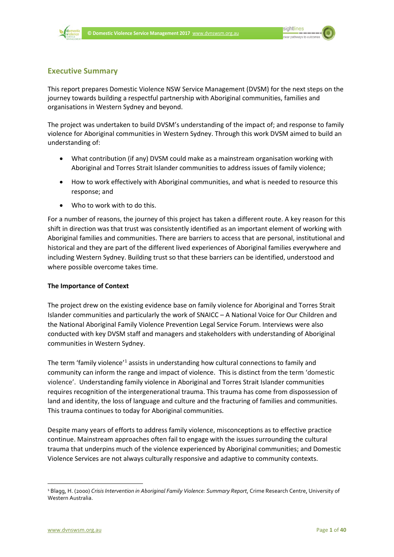



#### **Executive Summary**

This report prepares Domestic Violence NSW Service Management (DVSM) for the next steps on the journey towards building a respectful partnership with Aboriginal communities, families and organisations in Western Sydney and beyond.

The project was undertaken to build DVSM's understanding of the impact of; and response to family violence for Aboriginal communities in Western Sydney. Through this work DVSM aimed to build an understanding of:

- What contribution (if any) DVSM could make as a mainstream organisation working with Aboriginal and Torres Strait Islander communities to address issues of family violence;
- How to work effectively with Aboriginal communities, and what is needed to resource this response; and
- Who to work with to do this.

For a number of reasons, the journey of this project has taken a different route. A key reason for this shift in direction was that trust was consistently identified as an important element of working with Aboriginal families and communities. There are barriers to access that are personal, institutional and historical and they are part of the different lived experiences of Aboriginal families everywhere and including Western Sydney. Building trust so that these barriers can be identified, understood and where possible overcome takes time.

#### **The Importance of Context**

The project drew on the existing evidence base on family violence for Aboriginal and Torres Strait Islander communities and particularly the work of SNAICC – A National Voice for Our Children and the National Aboriginal Family Violence Prevention Legal Service Forum. Interviews were also conducted with key DVSM staff and managers and stakeholders with understanding of Aboriginal communities in Western Sydney.

The term 'family violence'<sup>[1](#page-2-0)</sup> assists in understanding how cultural connections to family and community can inform the range and impact of violence. This is distinct from the term 'domestic violence'. Understanding family violence in Aboriginal and Torres Strait Islander communities requires recognition of the intergenerational trauma. This trauma has come from dispossession of land and identity, the loss of language and culture and the fracturing of families and communities. This trauma continues to today for Aboriginal communities.

Despite many years of efforts to address family violence, misconceptions as to effective practice continue. Mainstream approaches often fail to engage with the issues surrounding the cultural trauma that underpins much of the violence experienced by Aboriginal communities; and Domestic Violence Services are not always culturally responsive and adaptive to community contexts.

 $\overline{a}$ 

<span id="page-2-0"></span><sup>1</sup> Blagg, H. (2000) *Crisis Intervention in Aboriginal Family Violence: Summary Report*, Crime Research Centre, University of Western Australia.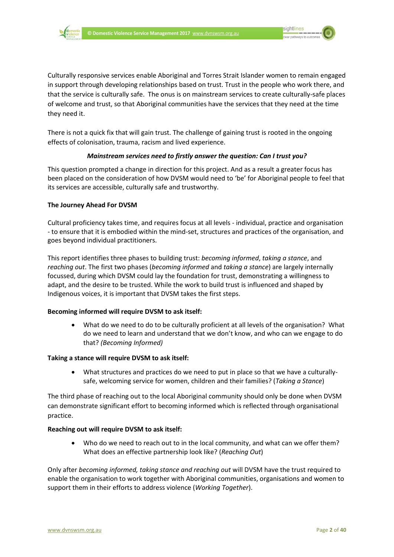

sightlines



Culturally responsive services enable Aboriginal and Torres Strait Islander women to remain engaged in support through developing relationships based on trust. Trust in the people who work there, and that the service is culturally safe. The onus is on mainstream services to create culturally-safe places of welcome and trust, so that Aboriginal communities have the services that they need at the time they need it.

There is not a quick fix that will gain trust. The challenge of gaining trust is rooted in the ongoing effects of colonisation, trauma, racism and lived experience.

#### *Mainstream services need to firstly answer the question: Can I trust you?*

This question prompted a change in direction for this project. And as a result a greater focus has been placed on the consideration of how DVSM would need to 'be' for Aboriginal people to feel that its services are accessible, culturally safe and trustworthy.

#### **The Journey Ahead For DVSM**

Cultural proficiency takes time, and requires focus at all levels - individual, practice and organisation - to ensure that it is embodied within the mind-set, structures and practices of the organisation, and goes beyond individual practitioners.

This report identifies three phases to building trust: *becoming informed*, *taking a stance*, and *reaching out*. The first two phases (*becoming informed* and *taking a stance*) are largely internally focussed, during which DVSM could lay the foundation for trust, demonstrating a willingness to adapt, and the desire to be trusted. While the work to build trust is influenced and shaped by Indigenous voices, it is important that DVSM takes the first steps.

#### **Becoming informed will require DVSM to ask itself:**

• What do we need to do to be culturally proficient at all levels of the organisation? What do we need to learn and understand that we don't know, and who can we engage to do that? *(Becoming Informed)*

#### **Taking a stance will require DVSM to ask itself:**

• What structures and practices do we need to put in place so that we have a culturallysafe, welcoming service for women, children and their families? (*Taking a Stance*)

The third phase of reaching out to the local Aboriginal community should only be done when DVSM can demonstrate significant effort to becoming informed which is reflected through organisational practice.

#### **Reaching out will require DVSM to ask itself:**

• Who do we need to reach out to in the local community, and what can we offer them? What does an effective partnership look like? (*Reaching Out*)

Only after *becoming informed, taking stance and reaching out* will DVSM have the trust required to enable the organisation to work together with Aboriginal communities, organisations and women to support them in their efforts to address violence (*Working Together*).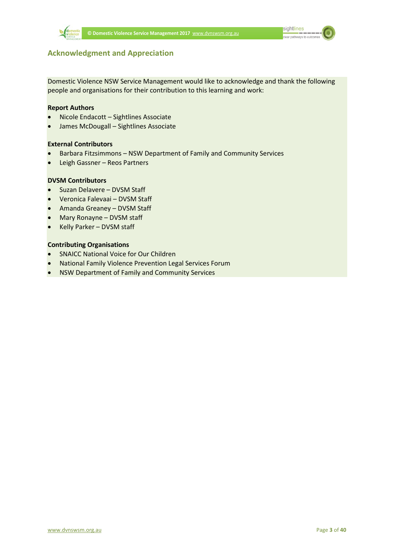

sightlines  $\frac{\ }{\ }$ 

### **Acknowledgment and Appreciation**

Domestic Violence NSW Service Management would like to acknowledge and thank the following people and organisations for their contribution to this learning and work:

#### **Report Authors**

- Nicole Endacott Sightlines Associate
- James McDougall Sightlines Associate

#### **External Contributors**

- Barbara Fitzsimmons NSW Department of Family and Community Services
- Leigh Gassner Reos Partners

#### **DVSM Contributors**

- Suzan Delavere DVSM Staff
- Veronica Falevaai DVSM Staff
- Amanda Greaney DVSM Staff
- Mary Ronayne DVSM staff
- Kelly Parker DVSM staff

#### **Contributing Organisations**

- SNAICC National Voice for Our Children
- National Family Violence Prevention Legal Services Forum
- NSW Department of Family and Community Services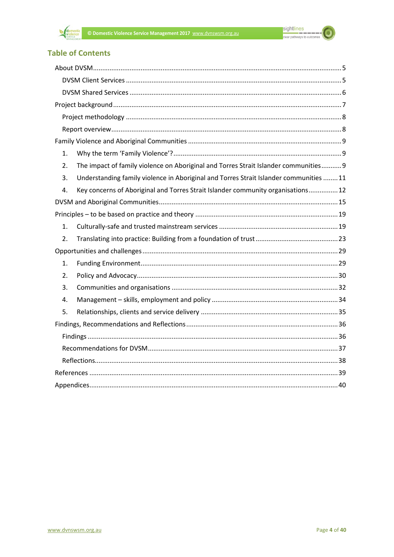

#### **Table of Contents**

| 1. |                                                                                        |  |  |  |
|----|----------------------------------------------------------------------------------------|--|--|--|
| 2. | The impact of family violence on Aboriginal and Torres Strait Islander communities 9   |  |  |  |
| 3. | Understanding family violence in Aboriginal and Torres Strait Islander communities  11 |  |  |  |
| 4. | Key concerns of Aboriginal and Torres Strait Islander community organisations 12       |  |  |  |
|    |                                                                                        |  |  |  |
|    |                                                                                        |  |  |  |
| 1. |                                                                                        |  |  |  |
| 2. |                                                                                        |  |  |  |
|    |                                                                                        |  |  |  |
| 1. |                                                                                        |  |  |  |
| 2. |                                                                                        |  |  |  |
| 3. |                                                                                        |  |  |  |
| 4. |                                                                                        |  |  |  |
| 5. |                                                                                        |  |  |  |
|    |                                                                                        |  |  |  |
|    |                                                                                        |  |  |  |
|    |                                                                                        |  |  |  |
|    |                                                                                        |  |  |  |
|    |                                                                                        |  |  |  |
|    |                                                                                        |  |  |  |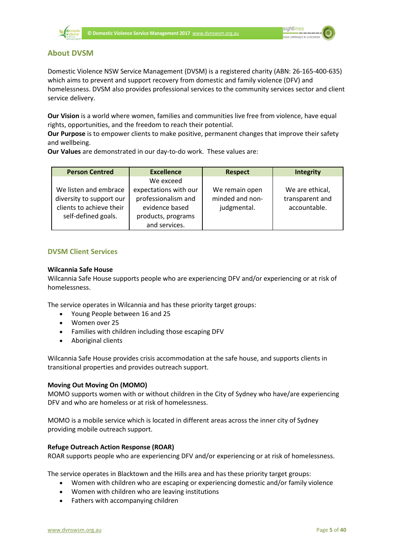

#### <span id="page-6-0"></span>**About DVSM**

Domestic Violence NSW Service Management (DVSM) is a registered charity (ABN: 26-165-400-635) which aims to prevent and support recovery from domestic and family violence (DFV) and homelessness. DVSM also provides professional services to the community services sector and client service delivery.

**Our Vision** is a world where women, families and communities live free from violence, have equal rights, opportunities, and the freedom to reach their potential.

**Our Purpose** is to empower clients to make positive, permanent changes that improve their safety and wellbeing.

**Our Values** are demonstrated in our day-to-do work. These values are:

| <b>Person Centred</b>    | <b>Excellence</b>     | <b>Respect</b>  | <b>Integrity</b> |
|--------------------------|-----------------------|-----------------|------------------|
|                          | We exceed             |                 |                  |
| We listen and embrace    | expectations with our | We remain open  | We are ethical,  |
| diversity to support our | professionalism and   | minded and non- | transparent and  |
| clients to achieve their | evidence based        | judgmental.     | accountable.     |
| self-defined goals.      | products, programs    |                 |                  |
|                          | and services.         |                 |                  |

#### <span id="page-6-1"></span>**DVSM Client Services**

#### **Wilcannia Safe House**

Wilcannia Safe House supports people who are experiencing DFV and/or experiencing or at risk of homelessness.

The service operates in Wilcannia and has these priority target groups:

- Young People between 16 and 25
- Women over 25
- Families with children including those escaping DFV
- Aboriginal clients

Wilcannia Safe House provides crisis accommodation at the safe house, and supports clients in transitional properties and provides outreach support.

#### **Moving Out Moving On (MOMO)**

MOMO supports women with or without children in the City of Sydney who have/are experiencing DFV and who are homeless or at risk of homelessness.

MOMO is a mobile service which is located in different areas across the inner city of Sydney providing mobile outreach support.

#### **Refuge Outreach Action Response (ROAR)**

ROAR supports people who are experiencing DFV and/or experiencing or at risk of homelessness.

The service operates in Blacktown and the Hills area and has these priority target groups:

- Women with children who are escaping or experiencing domestic and/or family violence
- Women with children who are leaving institutions
- Fathers with accompanying children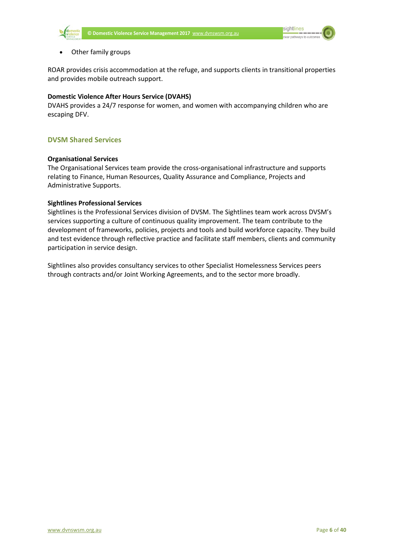

#### • Other family groups

ROAR provides crisis accommodation at the refuge, and supports clients in transitional properties and provides mobile outreach support.

#### **Domestic Violence After Hours Service (DVAHS)**

DVAHS provides a 24/7 response for women, and women with accompanying children who are escaping DFV.

#### <span id="page-7-0"></span>**DVSM Shared Services**

#### **Organisational Services**

The Organisational Services team provide the cross-organisational infrastructure and supports relating to Finance, Human Resources, Quality Assurance and Compliance, Projects and Administrative Supports.

#### **Sightlines Professional Services**

Sightlines is the Professional Services division of DVSM. The Sightlines team work across DVSM's services supporting a culture of continuous quality improvement. The team contribute to the development of frameworks, policies, projects and tools and build workforce capacity. They build and test evidence through reflective practice and facilitate staff members, clients and community participation in service design.

Sightlines also provides consultancy services to other Specialist Homelessness Services peers through contracts and/or Joint Working Agreements, and to the sector more broadly.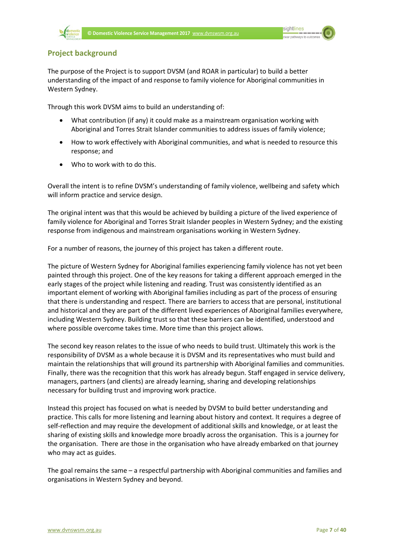

### <span id="page-8-0"></span>**Project background**

The purpose of the Project is to support DVSM (and ROAR in particular) to build a better understanding of the impact of and response to family violence for Aboriginal communities in Western Sydney.

Through this work DVSM aims to build an understanding of:

- What contribution (if any) it could make as a mainstream organisation working with Aboriginal and Torres Strait Islander communities to address issues of family violence;
- How to work effectively with Aboriginal communities, and what is needed to resource this response; and
- Who to work with to do this.

Overall the intent is to refine DVSM's understanding of family violence, wellbeing and safety which will inform practice and service design.

The original intent was that this would be achieved by building a picture of the lived experience of family violence for Aboriginal and Torres Strait Islander peoples in Western Sydney; and the existing response from indigenous and mainstream organisations working in Western Sydney.

For a number of reasons, the journey of this project has taken a different route.

The picture of Western Sydney for Aboriginal families experiencing family violence has not yet been painted through this project. One of the key reasons for taking a different approach emerged in the early stages of the project while listening and reading. Trust was consistently identified as an important element of working with Aboriginal families including as part of the process of ensuring that there is understanding and respect. There are barriers to access that are personal, institutional and historical and they are part of the different lived experiences of Aboriginal families everywhere, including Western Sydney. Building trust so that these barriers can be identified, understood and where possible overcome takes time. More time than this project allows.

The second key reason relates to the issue of who needs to build trust. Ultimately this work is the responsibility of DVSM as a whole because it is DVSM and its representatives who must build and maintain the relationships that will ground its partnership with Aboriginal families and communities. Finally, there was the recognition that this work has already begun. Staff engaged in service delivery, managers, partners (and clients) are already learning, sharing and developing relationships necessary for building trust and improving work practice.

Instead this project has focused on what is needed by DVSM to build better understanding and practice. This calls for more listening and learning about history and context. It requires a degree of self-reflection and may require the development of additional skills and knowledge, or at least the sharing of existing skills and knowledge more broadly across the organisation. This is a journey for the organisation. There are those in the organisation who have already embarked on that journey who may act as guides.

The goal remains the same – a respectful partnership with Aboriginal communities and families and organisations in Western Sydney and beyond.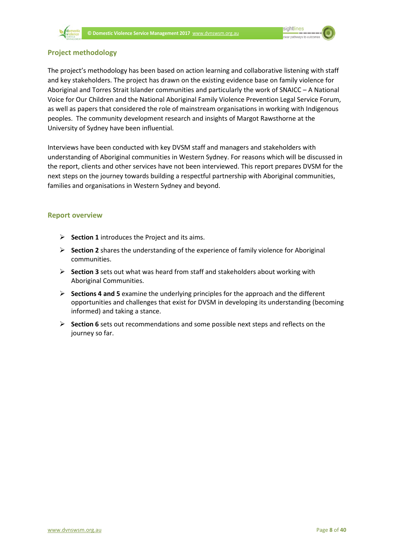

<span id="page-9-0"></span>

The project's methodology has been based on action learning and collaborative listening with staff and key stakeholders. The project has drawn on the existing evidence base on family violence for Aboriginal and Torres Strait Islander communities and particularly the work of SNAICC – A National Voice for Our Children and the National Aboriginal Family Violence Prevention Legal Service Forum, as well as papers that considered the role of mainstream organisations in working with Indigenous peoples. The community development research and insights of Margot Rawsthorne at the University of Sydney have been influential.

Interviews have been conducted with key DVSM staff and managers and stakeholders with understanding of Aboriginal communities in Western Sydney. For reasons which will be discussed in the report, clients and other services have not been interviewed. This report prepares DVSM for the next steps on the journey towards building a respectful partnership with Aboriginal communities, families and organisations in Western Sydney and beyond.

#### <span id="page-9-1"></span>**Report overview**

- **Section 1** introduces the Project and its aims.
- **Section 2** shares the understanding of the experience of family violence for Aboriginal communities.
- **Section 3** sets out what was heard from staff and stakeholders about working with Aboriginal Communities.
- **Sections 4 and 5** examine the underlying principles for the approach and the different opportunities and challenges that exist for DVSM in developing its understanding (becoming informed) and taking a stance.
- **Section 6** sets out recommendations and some possible next steps and reflects on the journey so far.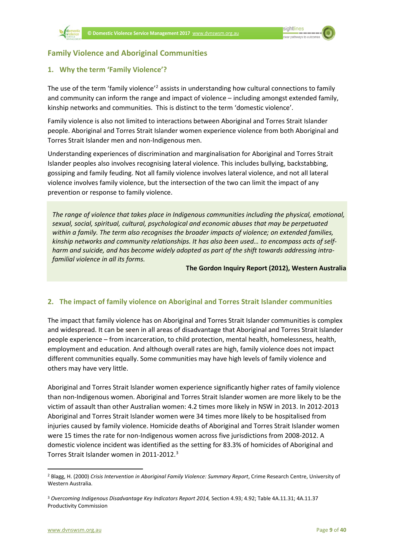

#### <span id="page-10-0"></span>**Family Violence and Aboriginal Communities**

#### <span id="page-10-1"></span>**1. Why the term 'Family Violence'?**

The use of the term 'family violence'<sup>[2](#page-10-3)</sup> assists in understanding how cultural connections to family and community can inform the range and impact of violence – including amongst extended family, kinship networks and communities. This is distinct to the term 'domestic violence'.

Family violence is also not limited to interactions between Aboriginal and Torres Strait Islander people. Aboriginal and Torres Strait Islander women experience violence from both Aboriginal and Torres Strait Islander men and non-Indigenous men.

Understanding experiences of discrimination and marginalisation for Aboriginal and Torres Strait Islander peoples also involves recognising lateral violence. This includes bullying, backstabbing, gossiping and family feuding. Not all family violence involves lateral violence, and not all lateral violence involves family violence, but the intersection of the two can limit the impact of any prevention or response to family violence.

*The range of violence that takes place in Indigenous communities including the physical, emotional, sexual, social, spiritual, cultural, psychological and economic abuses that may be perpetuated within a family. The term also recognises the broader impacts of violence; on extended families, kinship networks and community relationships. It has also been used… to encompass acts of selfharm and suicide, and has become widely adopted as part of the shift towards addressing intrafamilial violence in all its forms.* 

#### **The Gordon Inquiry Report (2012), Western Australia**

#### <span id="page-10-2"></span>**2. The impact of family violence on Aboriginal and Torres Strait Islander communities**

The impact that family violence has on Aboriginal and Torres Strait Islander communities is complex and widespread. It can be seen in all areas of disadvantage that Aboriginal and Torres Strait Islander people experience – from incarceration, to child protection, mental health, homelessness, health, employment and education. And although overall rates are high, family violence does not impact different communities equally. Some communities may have high levels of family violence and others may have very little.

Aboriginal and Torres Strait Islander women experience significantly higher rates of family violence than non-Indigenous women. Aboriginal and Torres Strait Islander women are more likely to be the victim of assault than other Australian women: 4.2 times more likely in NSW in 2013. In 2012-2013 Aboriginal and Torres Strait Islander women were 34 times more likely to be hospitalised from injuries caused by family violence. Homicide deaths of Aboriginal and Torres Strait Islander women were 15 times the rate for non-Indigenous women across five jurisdictions from 2008-2012. A domestic violence incident was identified as the setting for 83.3% of homicides of Aboriginal and Torres Strait Islander women in 2011-2012.[3](#page-10-4)

<span id="page-10-3"></span> <sup>2</sup> Blagg, H. (2000) *Crisis Intervention in Aboriginal Family Violence: Summary Report*, Crime Research Centre, University of Western Australia.

<span id="page-10-4"></span><sup>3</sup> *Overcoming Indigenous Disadvantage Key Indicators Report 2014,* Section 4.93; 4.92; Table 4A.11.31; 4A.11.37 Productivity Commission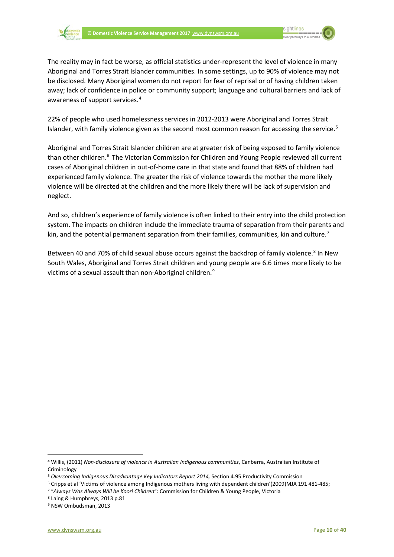

The reality may in fact be worse, as official statistics under-represent the level of violence in many Aboriginal and Torres Strait Islander communities. In some settings, up to 90% of violence may not be disclosed. Many Aboriginal women do not report for fear of reprisal or of having children taken away; lack of confidence in police or community support; language and cultural barriers and lack of awareness of support services.[4](#page-11-0)

22% of people who used homelessness services in 2012-2013 were Aboriginal and Torres Strait Islander, with family violence given as the second most common reason for accessing the service.<sup>[5](#page-11-1)</sup>

Aboriginal and Torres Strait Islander children are at greater risk of being exposed to family violence than other children.<sup>[6](#page-11-2)</sup> The Victorian Commission for Children and Young People reviewed all current cases of Aboriginal children in out-of-home care in that state and found that 88% of children had experienced family violence. The greater the risk of violence towards the mother the more likely violence will be directed at the children and the more likely there will be lack of supervision and neglect.

And so, children's experience of family violence is often linked to their entry into the child protection system. The impacts on children include the immediate trauma of separation from their parents and kin, and the potential permanent separation from their families, communities, kin and culture.<sup>[7](#page-11-3)</sup>

Between 40 and 70% of child sexual abuse occurs against the backdrop of family violence.<sup>[8](#page-11-4)</sup> In New South Wales, Aboriginal and Torres Strait children and young people are 6.6 times more likely to be victims of a sexual assault than non-Aboriginal children.<sup>[9](#page-11-5)</sup>

<span id="page-11-0"></span> <sup>4</sup> Willis, (2011) *Non-disclosure of violence in Australian Indigenous communities*, Canberra, Australian Institute of **Criminology** 

<span id="page-11-1"></span><sup>5</sup> *Overcoming Indigenous Disadvantage Key Indicators Report 2014,* Section 4.95 Productivity Commission

<span id="page-11-2"></span><sup>&</sup>lt;sup>6</sup> Cripps et al 'Victims of violence among Indigenous mothers living with dependent children'(2009)MJA 191 481-485;<br><sup>7</sup> "Always Was Always Will be Koori Children": Commission for Children & Young People, Victoria<br><sup>8</sup> Lai

<span id="page-11-3"></span>

<span id="page-11-4"></span>

<span id="page-11-5"></span><sup>9</sup> NSW Ombudsman, 2013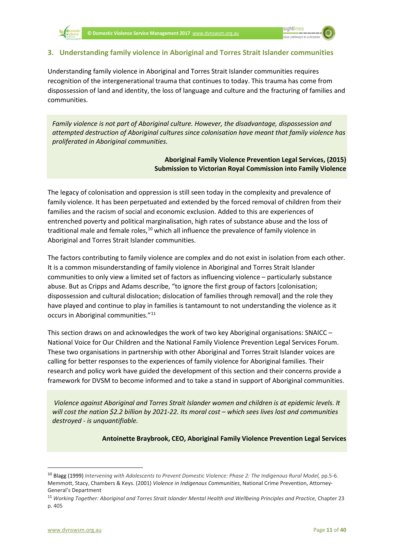#### <span id="page-12-0"></span>**3. Understanding family violence in Aboriginal and Torres Strait Islander communities**

Understanding family violence in Aboriginal and Torres Strait Islander communities requires recognition of the intergenerational trauma that continues to today. This trauma has come from dispossession of land and identity, the loss of language and culture and the fracturing of families and communities.

*Family violence is not part of Aboriginal culture. However, the disadvantage, dispossession and attempted destruction of Aboriginal cultures since colonisation have meant that family violence has proliferated in Aboriginal communities.*

#### **Aboriginal Family Violence Prevention Legal Services, (2015) Submission to Victorian Royal Commission into Family Violence**

The legacy of colonisation and oppression is still seen today in the complexity and prevalence of family violence. It has been perpetuated and extended by the forced removal of children from their families and the racism of social and economic exclusion. Added to this are experiences of entrenched poverty and political marginalisation, high rates of substance abuse and the loss of traditional male and female roles, $10$  which all influence the prevalence of family violence in Aboriginal and Torres Strait Islander communities.

The factors contributing to family violence are complex and do not exist in isolation from each other. It is a common misunderstanding of family violence in Aboriginal and Torres Strait Islander communities to only view a limited set of factors as influencing violence – particularly substance abuse. But as Cripps and Adams describe, "to ignore the first group of factors [colonisation; dispossession and cultural dislocation; dislocation of families through removal] and the role they have played and continue to play in families is tantamount to not understanding the violence as it occurs in Aboriginal communities."[11](#page-12-2)

This section draws on and acknowledges the work of two key Aboriginal organisations: SNAICC – National Voice for Our Children and the National Family Violence Prevention Legal Services Forum. These two organisations in partnership with other Aboriginal and Torres Strait Islander voices are calling for better responses to the experiences of family violence for Aboriginal families. Their research and policy work have guided the development of this section and their concerns provide a framework for DVSM to become informed and to take a stand in support of Aboriginal communities.

*Violence against Aboriginal and Torres Strait Islander women and children is at epidemic levels. It will cost the nation \$2.2 billion by 2021-22. Its moral cost – which sees lives lost and communities destroyed - is unquantifiable.*

**Antoinette Braybrook, CEO, Aboriginal Family Violence Prevention Legal Services**

<span id="page-12-1"></span> <sup>10</sup> Blagg (1999) *Intervening with Adolescents to Prevent Domestic Violence: Phase 2: The Indigenous Rural Model,* pp.5-6. Memmott, Stacy, Chambers & Keys. (2001) *Violence in Indigenous Communities*, National Crime Prevention, Attorney-General's Department

<span id="page-12-2"></span><sup>11</sup> *Working Together: Aboriginal and Torres Strait Islander Mental Health and Wellbeing Principles and Practice,* Chapter 23 p. 405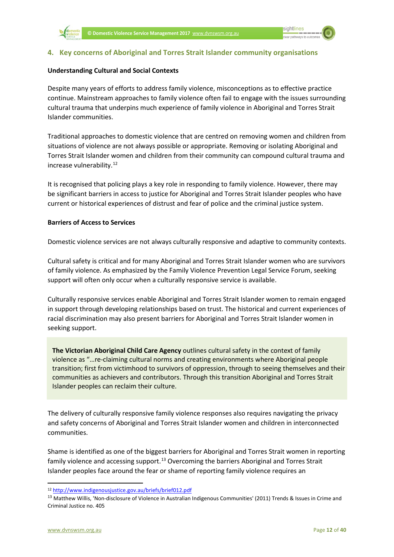

#### <span id="page-13-0"></span>**4. Key concerns of Aboriginal and Torres Strait Islander community organisations**

#### **Understanding Cultural and Social Contexts**

Despite many years of efforts to address family violence, misconceptions as to effective practice continue. Mainstream approaches to family violence often fail to engage with the issues surrounding cultural trauma that underpins much experience of family violence in Aboriginal and Torres Strait Islander communities.

Traditional approaches to domestic violence that are centred on removing women and children from situations of violence are not always possible or appropriate. Removing or isolating Aboriginal and Torres Strait Islander women and children from their community can compound cultural trauma and increase vulnerability.<sup>[12](#page-13-1)</sup>

It is recognised that policing plays a key role in responding to family violence. However, there may be significant barriers in access to justice for Aboriginal and Torres Strait Islander peoples who have current or historical experiences of distrust and fear of police and the criminal justice system.

#### **Barriers of Access to Services**

Domestic violence services are not always culturally responsive and adaptive to community contexts.

Cultural safety is critical and for many Aboriginal and Torres Strait Islander women who are survivors of family violence. As emphasized by the Family Violence Prevention Legal Service Forum, seeking support will often only occur when a culturally responsive service is available.

Culturally responsive services enable Aboriginal and Torres Strait Islander women to remain engaged in support through developing relationships based on trust. The historical and current experiences of racial discrimination may also present barriers for Aboriginal and Torres Strait Islander women in seeking support.

**The Victorian Aboriginal Child Care Agency** outlines cultural safety in the context of family violence as "…re-claiming cultural norms and creating environments where Aboriginal people transition; first from victimhood to survivors of oppression, through to seeing themselves and their communities as achievers and contributors. Through this transition Aboriginal and Torres Strait Islander peoples can reclaim their culture.

The delivery of culturally responsive family violence responses also requires navigating the privacy and safety concerns of Aboriginal and Torres Strait Islander women and children in interconnected communities.

Shame is identified as one of the biggest barriers for Aboriginal and Torres Strait women in reporting family violence and accessing support.<sup>[13](#page-13-2)</sup> Overcoming the barriers Aboriginal and Torres Strait Islander peoples face around the fear or shame of reporting family violence requires an

<span id="page-13-1"></span> <sup>12</sup> <http://www.indigenousjustice.gov.au/briefs/brief012.pdf>

<span id="page-13-2"></span><sup>&</sup>lt;sup>13</sup> Matthew Willis, 'Non-disclosure of Violence in Australian Indigenous Communities' (2011) Trends & Issues in Crime and Criminal Justice no. 405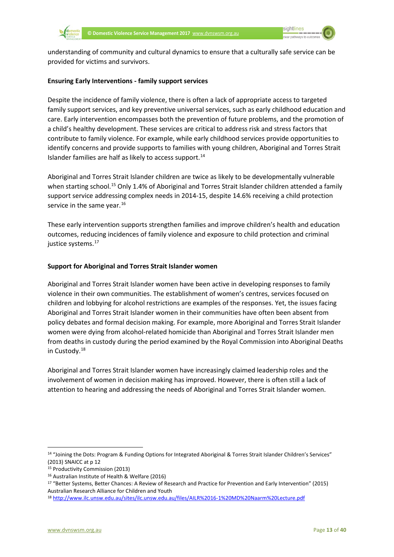

understanding of community and cultural dynamics to ensure that a culturally safe service can be provided for victims and survivors.

#### **Ensuring Early Interventions - family support services**

Despite the incidence of family violence, there is often a lack of appropriate access to targeted family support services, and key preventive universal services, such as early childhood education and care. Early intervention encompasses both the prevention of future problems, and the promotion of a child's healthy development. These services are critical to address risk and stress factors that contribute to family violence. For example, while early childhood services provide opportunities to identify concerns and provide supports to families with young children, Aboriginal and Torres Strait Islander families are half as likely to access support. $14$ 

Aboriginal and Torres Strait Islander children are twice as likely to be developmentally vulnerable when starting school.<sup>[15](#page-14-1)</sup> Only 1.4% of Aboriginal and Torres Strait Islander children attended a family support service addressing complex needs in 2014-15, despite 14.6% receiving a child protection service in the same year.<sup>[16](#page-14-2)</sup>

These early intervention supports strengthen families and improve children's health and education outcomes, reducing incidences of family violence and exposure to child protection and criminal justice systems.<sup>[17](#page-14-3)</sup>

#### **Support for Aboriginal and Torres Strait Islander women**

Aboriginal and Torres Strait Islander women have been active in developing responses to family violence in their own communities. The establishment of women's centres, services focused on children and lobbying for alcohol restrictions are examples of the responses. Yet, the issues facing Aboriginal and Torres Strait Islander women in their communities have often been absent from policy debates and formal decision making. For example, more Aboriginal and Torres Strait Islander women were dying from alcohol-related homicide than Aboriginal and Torres Strait Islander men from deaths in custody during the period examined by the Royal Commission into Aboriginal Deaths in Custody.[18](#page-14-4)

Aboriginal and Torres Strait Islander women have increasingly claimed leadership roles and the involvement of women in decision making has improved. However, there is often still a lack of attention to hearing and addressing the needs of Aboriginal and Torres Strait Islander women.

<span id="page-14-0"></span> <sup>14</sup> "Joining the Dots: Program & Funding Options for Integrated Aboriginal & Torres Strait Islander Children's Services" (2013) SNAICC at p 12

<span id="page-14-1"></span><sup>15</sup> Productivity Commission (2013)

<span id="page-14-2"></span><sup>16</sup> Australian Institute of Health & Welfare (2016)

<span id="page-14-3"></span><sup>17</sup> "Better Systems, Better Chances: A Review of Research and Practice for Prevention and Early Intervention" (2015) Australian Research Alliance for Children and Youth

<span id="page-14-4"></span><sup>18</sup> <http://www.ilc.unsw.edu.au/sites/ilc.unsw.edu.au/files/AILR%2016-1%20MD%20Naarm%20Lecture.pdf>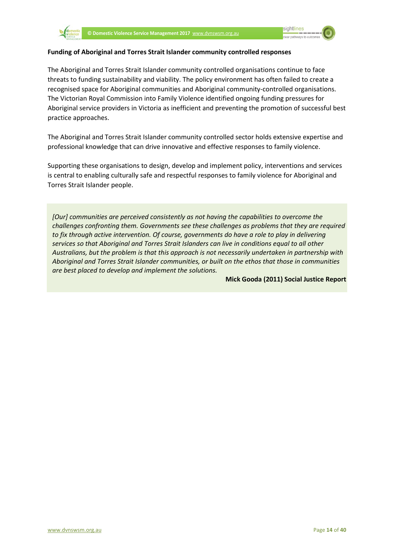

#### **Funding of Aboriginal and Torres Strait Islander community controlled responses**

The Aboriginal and Torres Strait Islander community controlled organisations continue to face threats to funding sustainability and viability. The policy environment has often failed to create a recognised space for Aboriginal communities and Aboriginal community-controlled organisations. The Victorian Royal Commission into Family Violence identified ongoing funding pressures for Aboriginal service providers in Victoria as inefficient and preventing the promotion of successful best practice approaches.

The Aboriginal and Torres Strait Islander community controlled sector holds extensive expertise and professional knowledge that can drive innovative and effective responses to family violence.

Supporting these organisations to design, develop and implement policy, interventions and services is central to enabling culturally safe and respectful responses to family violence for Aboriginal and Torres Strait Islander people.

*[Our] communities are perceived consistently as not having the capabilities to overcome the challenges confronting them. Governments see these challenges as problems that they are required to fix through active intervention. Of course, governments do have a role to play in delivering services so that Aboriginal and Torres Strait Islanders can live in conditions equal to all other Australians, but the problem is that this approach is not necessarily undertaken in partnership with Aboriginal and Torres Strait Islander communities, or built on the ethos that those in communities are best placed to develop and implement the solutions.*

**Mick Gooda (2011) Social Justice Report**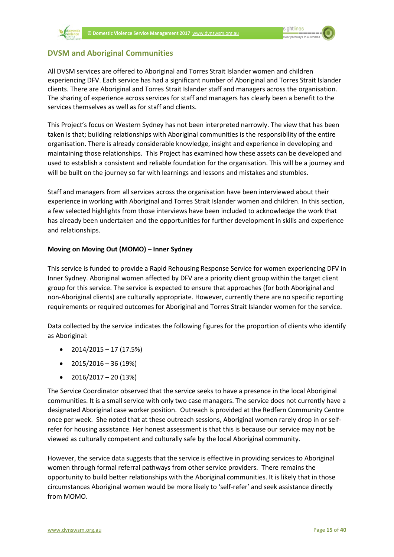### <span id="page-16-0"></span>**DVSM and Aboriginal Communities**

All DVSM services are offered to Aboriginal and Torres Strait Islander women and children experiencing DFV. Each service has had a significant number of Aboriginal and Torres Strait Islander clients. There are Aboriginal and Torres Strait Islander staff and managers across the organisation. The sharing of experience across services for staff and managers has clearly been a benefit to the services themselves as well as for staff and clients.

This Project's focus on Western Sydney has not been interpreted narrowly. The view that has been taken is that; building relationships with Aboriginal communities is the responsibility of the entire organisation. There is already considerable knowledge, insight and experience in developing and maintaining those relationships. This Project has examined how these assets can be developed and used to establish a consistent and reliable foundation for the organisation. This will be a journey and will be built on the journey so far with learnings and lessons and mistakes and stumbles.

Staff and managers from all services across the organisation have been interviewed about their experience in working with Aboriginal and Torres Strait Islander women and children. In this section, a few selected highlights from those interviews have been included to acknowledge the work that has already been undertaken and the opportunities for further development in skills and experience and relationships.

#### **Moving on Moving Out (MOMO) – Inner Sydney**

This service is funded to provide a Rapid Rehousing Response Service for women experiencing DFV in Inner Sydney. Aboriginal women affected by DFV are a priority client group within the target client group for this service. The service is expected to ensure that approaches (for both Aboriginal and non-Aboriginal clients) are culturally appropriate. However, currently there are no specific reporting requirements or required outcomes for Aboriginal and Torres Strait Islander women for the service.

Data collected by the service indicates the following figures for the proportion of clients who identify as Aboriginal:

- $2014/2015 17(17.5%)$
- $2015/2016 36(19%)$
- $\bullet$  2016/2017 20 (13%)

The Service Coordinator observed that the service seeks to have a presence in the local Aboriginal communities. It is a small service with only two case managers. The service does not currently have a designated Aboriginal case worker position. Outreach is provided at the Redfern Community Centre once per week. She noted that at these outreach sessions, Aboriginal women rarely drop in or selfrefer for housing assistance. Her honest assessment is that this is because our service may not be viewed as culturally competent and culturally safe by the local Aboriginal community.

However, the service data suggests that the service is effective in providing services to Aboriginal women through formal referral pathways from other service providers. There remains the opportunity to build better relationships with the Aboriginal communities. It is likely that in those circumstances Aboriginal women would be more likely to 'self-refer' and seek assistance directly from MOMO.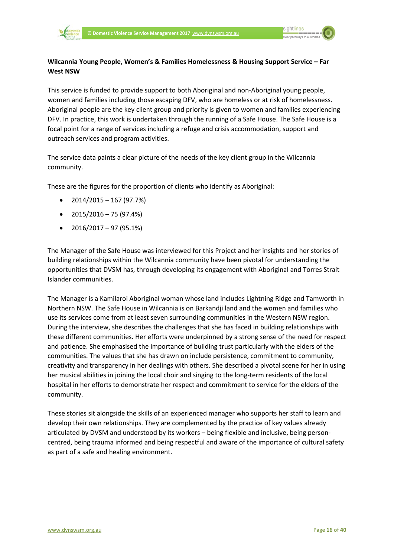

#### **Wilcannia Young People, Women's & Families Homelessness & Housing Support Service – Far West NSW**

This service is funded to provide support to both Aboriginal and non-Aboriginal young people, women and families including those escaping DFV, who are homeless or at risk of homelessness. Aboriginal people are the key client group and priority is given to women and families experiencing DFV. In practice, this work is undertaken through the running of a Safe House. The Safe House is a focal point for a range of services including a refuge and crisis accommodation, support and outreach services and program activities.

The service data paints a clear picture of the needs of the key client group in the Wilcannia community.

These are the figures for the proportion of clients who identify as Aboriginal:

- $\bullet$  2014/2015 167 (97.7%)
- $\bullet$  2015/2016 75 (97.4%)
- $\bullet$  2016/2017 97 (95.1%)

The Manager of the Safe House was interviewed for this Project and her insights and her stories of building relationships within the Wilcannia community have been pivotal for understanding the opportunities that DVSM has, through developing its engagement with Aboriginal and Torres Strait Islander communities.

The Manager is a Kamilaroi Aboriginal woman whose land includes Lightning Ridge and Tamworth in Northern NSW. The Safe House in Wilcannia is on Barkandji land and the women and families who use its services come from at least seven surrounding communities in the Western NSW region. During the interview, she describes the challenges that she has faced in building relationships with these different communities. Her efforts were underpinned by a strong sense of the need for respect and patience. She emphasised the importance of building trust particularly with the elders of the communities. The values that she has drawn on include persistence, commitment to community, creativity and transparency in her dealings with others. She described a pivotal scene for her in using her musical abilities in joining the local choir and singing to the long-term residents of the local hospital in her efforts to demonstrate her respect and commitment to service for the elders of the community.

These stories sit alongside the skills of an experienced manager who supports her staff to learn and develop their own relationships. They are complemented by the practice of key values already articulated by DVSM and understood by its workers – being flexible and inclusive, being personcentred, being trauma informed and being respectful and aware of the importance of cultural safety as part of a safe and healing environment.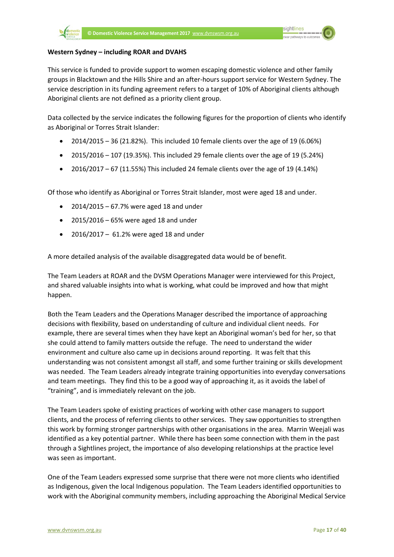#### **Western Sydney – including ROAR and DVAHS**

This service is funded to provide support to women escaping domestic violence and other family groups in Blacktown and the Hills Shire and an after-hours support service for Western Sydney. The service description in its funding agreement refers to a target of 10% of Aboriginal clients although Aboriginal clients are not defined as a priority client group.

Data collected by the service indicates the following figures for the proportion of clients who identify as Aboriginal or Torres Strait Islander:

- 2014/2015 36 (21.82%). This included 10 female clients over the age of 19 (6.06%)
- $2015/2016 107$  (19.35%). This included 29 female clients over the age of 19 (5.24%)
- $2016/2017 67$  (11.55%) This included 24 female clients over the age of 19 (4.14%)

Of those who identify as Aboriginal or Torres Strait Islander, most were aged 18 and under.

- 2014/2015 67.7% were aged 18 and under
- 2015/2016 65% were aged 18 and under
- 2016/2017 61.2% were aged 18 and under

A more detailed analysis of the available disaggregated data would be of benefit.

The Team Leaders at ROAR and the DVSM Operations Manager were interviewed for this Project, and shared valuable insights into what is working, what could be improved and how that might happen.

Both the Team Leaders and the Operations Manager described the importance of approaching decisions with flexibility, based on understanding of culture and individual client needs. For example, there are several times when they have kept an Aboriginal woman's bed for her, so that she could attend to family matters outside the refuge. The need to understand the wider environment and culture also came up in decisions around reporting. It was felt that this understanding was not consistent amongst all staff, and some further training or skills development was needed. The Team Leaders already integrate training opportunities into everyday conversations and team meetings. They find this to be a good way of approaching it, as it avoids the label of "training", and is immediately relevant on the job.

The Team Leaders spoke of existing practices of working with other case managers to support clients, and the process of referring clients to other services. They saw opportunities to strengthen this work by forming stronger partnerships with other organisations in the area. Marrin Weejali was identified as a key potential partner. While there has been some connection with them in the past through a Sightlines project, the importance of also developing relationships at the practice level was seen as important.

One of the Team Leaders expressed some surprise that there were not more clients who identified as Indigenous, given the local Indigenous population. The Team Leaders identified opportunities to work with the Aboriginal community members, including approaching the Aboriginal Medical Service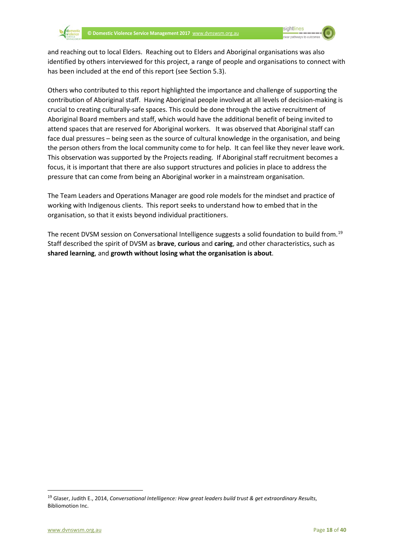

and reaching out to local Elders. Reaching out to Elders and Aboriginal organisations was also identified by others interviewed for this project, a range of people and organisations to connect with has been included at the end of this report (see Section 5.3).

Others who contributed to this report highlighted the importance and challenge of supporting the contribution of Aboriginal staff. Having Aboriginal people involved at all levels of decision-making is crucial to creating culturally-safe spaces. This could be done through the active recruitment of Aboriginal Board members and staff, which would have the additional benefit of being invited to attend spaces that are reserved for Aboriginal workers. It was observed that Aboriginal staff can face dual pressures – being seen as the source of cultural knowledge in the organisation, and being the person others from the local community come to for help. It can feel like they never leave work. This observation was supported by the Projects reading. If Aboriginal staff recruitment becomes a focus, it is important that there are also support structures and policies in place to address the pressure that can come from being an Aboriginal worker in a mainstream organisation.

The Team Leaders and Operations Manager are good role models for the mindset and practice of working with Indigenous clients. This report seeks to understand how to embed that in the organisation, so that it exists beyond individual practitioners.

The recent DVSM session on Conversational Intelligence suggests a solid foundation to build from.<sup>19</sup> Staff described the spirit of DVSM as **brave**, **curious** and **caring**, and other characteristics, such as **shared learning**, and **growth without losing what the organisation is about**.

<span id="page-19-0"></span> <sup>19</sup> Glaser, Judith E., 2014, *Conversational Intelligence: How great leaders build trust & get extraordinary Results*, Bibliomotion Inc.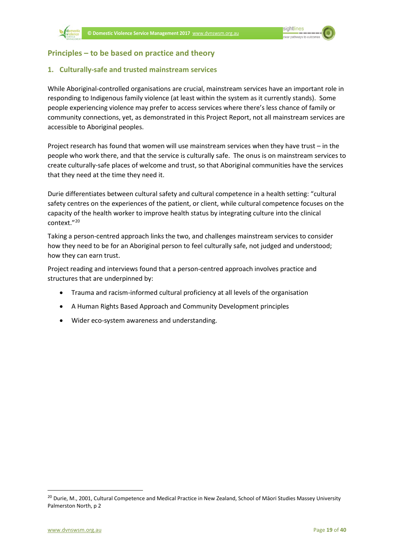

#### <span id="page-20-1"></span><span id="page-20-0"></span>**Principles – to be based on practice and theory**

#### **1. Culturally-safe and trusted mainstream services**

While Aboriginal-controlled organisations are crucial, mainstream services have an important role in responding to Indigenous family violence (at least within the system as it currently stands). Some people experiencing violence may prefer to access services where there's less chance of family or community connections, yet, as demonstrated in this Project Report, not all mainstream services are accessible to Aboriginal peoples.

Project research has found that women will use mainstream services when they have trust – in the people who work there, and that the service is culturally safe. The onus is on mainstream services to create culturally-safe places of welcome and trust, so that Aboriginal communities have the services that they need at the time they need it.

Durie differentiates between cultural safety and cultural competence in a health setting: "cultural safety centres on the experiences of the patient, or client, while cultural competence focuses on the capacity of the health worker to improve health status by integrating culture into the clinical context."[20](#page-20-2)

Taking a person-centred approach links the two, and challenges mainstream services to consider how they need to be for an Aboriginal person to feel culturally safe, not judged and understood; how they can earn trust.

Project reading and interviews found that a person-centred approach involves practice and structures that are underpinned by:

- Trauma and racism-informed cultural proficiency at all levels of the organisation
- A Human Rights Based Approach and Community Development principles
- Wider eco-system awareness and understanding.

<span id="page-20-2"></span><sup>&</sup>lt;sup>20</sup> Durie, M., 2001, Cultural Competence and Medical Practice in New Zealand, School of Māori Studies Massey University Palmerston North, p 2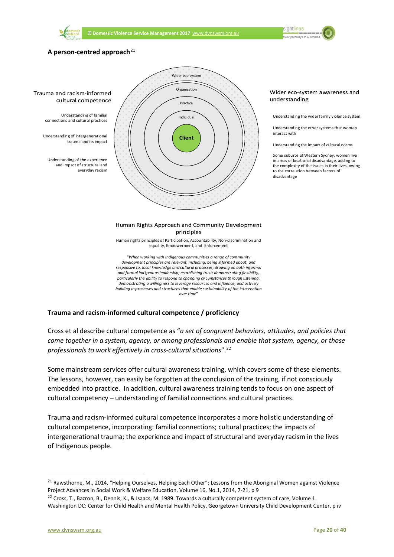

Wider eco-system

**sightlines** araathumana ta'u



#### Wider eco-system awareness and understanding

Understanding the wider family violence system

Understanding the other systems that women interact with

Understanding the impact of cultural norms

Some suburbs of Western Sydney, women live in areas of locational disadvantage, adding to the complexity of the issues in their lives, owing to the correlation between factors of disadvantage

#### **Trauma and racism-informed cultural competence / proficiency**

Cross et al describe cultural competence as "*a set of congruent behaviors, attitudes, and policies that come together in a system, agency, or among professionals and enable that system, agency, or those professionals to work effectively in cross-cultural situations*".[22](#page-21-1)

*demonstrating a willingness to leverage resources and influence; and actively building in processes and structures that enable sustainability of the intervention over time*"

Some mainstream services offer cultural awareness training, which covers some of these elements. The lessons, however, can easily be forgotten at the conclusion of the training, if not consciously embedded into practice. In addition, cultural awareness training tends to focus on one aspect of cultural competency – understanding of familial connections and cultural practices.

Trauma and racism-informed cultural competence incorporates a more holistic understanding of cultural competence, incorporating: familial connections; cultural practices; the impacts of intergenerational trauma; the experience and impact of structural and everyday racism in the lives of Indigenous people.

<span id="page-21-0"></span><sup>&</sup>lt;sup>21</sup> Rawsthorne, M., 2014, "Helping Ourselves, Helping Each Other": Lessons from the Aboriginal Women against Violence Project Advances in Social Work & Welfare Education, Volume 16, No.1, 2014, 7-21, p 9

<span id="page-21-1"></span><sup>&</sup>lt;sup>22</sup> Cross, T., Bazron, B., Dennis, K., & Isaacs, M. 1989. Towards a culturally competent system of care, Volume 1. Washington DC: Center for Child Health and Mental Health Policy, Georgetown University Child Development Center, p iv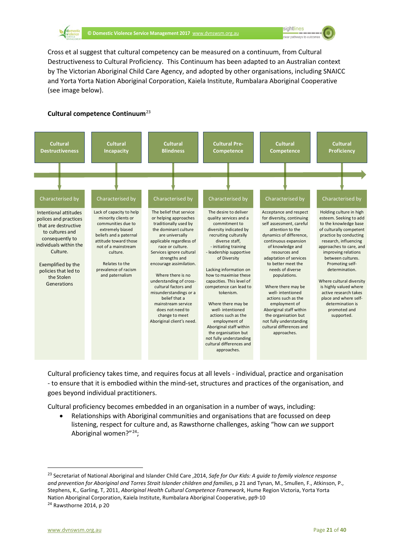

Cross et al suggest that cultural competency can be measured on a continuum, from Cultural Destructiveness to Cultural Proficiency. This Continuum has been adapted to an Australian context by The Victorian Aboriginal Child Care Agency, and adopted by other organisations, including SNAICC and Yorta Yorta Nation Aboriginal Corporation, Kaiela Institute, Rumbalara Aboriginal Cooperative (see image below).

#### **Cultural competence Continuum**[23](#page-22-0)



Cultural proficiency takes time, and requires focus at all levels - individual, practice and organisation - to ensure that it is embodied within the mind-set, structures and practices of the organisation, and goes beyond individual practitioners.

Cultural proficiency becomes embedded in an organisation in a number of ways, including:

• Relationships with Aboriginal communities and organisations that are focussed on deep listening, respect for culture and, as Rawsthorne challenges, asking "how can *we* support Aboriginal women?"[24](#page-22-1);

<span id="page-22-0"></span> <sup>23</sup> Secretariat of National Aboriginal and Islander Child Care ,2014, *Safe for Our Kids: A guide to family violence response and prevention for Aboriginal and Torres Strait Islander children and families*, p 21 and Tynan, M., Smullen, F., Atkinson, P., Stephens, K., Garling, T, 2011, *Aboriginal Health Cultural Competence Framework*, Hume Region Victoria, Yorta Yorta Nation Aboriginal Corporation, Kaiela Institute, Rumbalara Aboriginal Cooperative, pp9-10<br><sup>24</sup> Rawsthorne 2014, p 20

<span id="page-22-1"></span>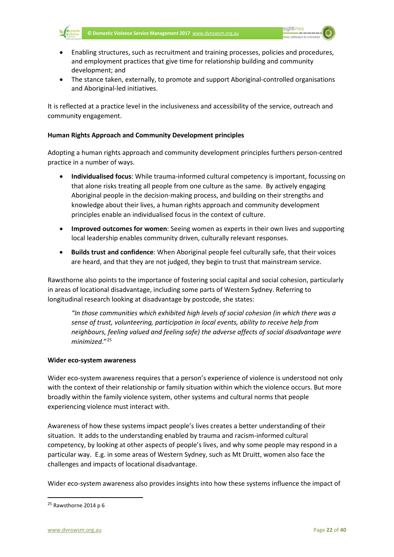



- Enabling structures, such as recruitment and training processes, policies and procedures, and employment practices that give time for relationship building and community development; and
- The stance taken, externally, to promote and support Aboriginal-controlled organisations and Aboriginal-led initiatives.

It is reflected at a practice level in the inclusiveness and accessibility of the service, outreach and community engagement.

#### **Human Rights Approach and Community Development principles**

Adopting a human rights approach and community development principles furthers person-centred practice in a number of ways.

- **Individualised focus**: While trauma-informed cultural competency is important, focussing on that alone risks treating all people from one culture as the same. By actively engaging Aboriginal people in the decision-making process, and building on their strengths and knowledge about their lives, a human rights approach and community development principles enable an individualised focus in the context of culture.
- **Improved outcomes for women**: Seeing women as experts in their own lives and supporting local leadership enables community driven, culturally relevant responses.
- **Builds trust and confidence**: When Aboriginal people feel culturally safe, that their voices are heard, and that they are not judged, they begin to trust that mainstream service.

Rawsthorne also points to the importance of fostering social capital and social cohesion, particularly in areas of locational disadvantage, including some parts of Western Sydney. Referring to longitudinal research looking at disadvantage by postcode, she states:

*"In those communities which exhibited high levels of social cohesion (in which there was a sense of trust, volunteering, participation in local events, ability to receive help from neighbours, feeling valued and feeling safe) the adverse affects of social disadvantage were minimized*."[25](#page-23-0)

#### **Wider eco-system awareness**

Wider eco-system awareness requires that a person's experience of violence is understood not only with the context of their relationship or family situation within which the violence occurs. But more broadly within the family violence system, other systems and cultural norms that people experiencing violence must interact with.

Awareness of how these systems impact people's lives creates a better understanding of their situation. It adds to the understanding enabled by trauma and racism-informed cultural competency, by looking at other aspects of people's lives, and why some people may respond in a particular way. E.g. in some areas of Western Sydney, such as Mt Druitt, women also face the challenges and impacts of locational disadvantage.

Wider eco-system awareness also provides insights into how these systems influence the impact of

<span id="page-23-0"></span> $25$  Rawsthorne 2014 p 6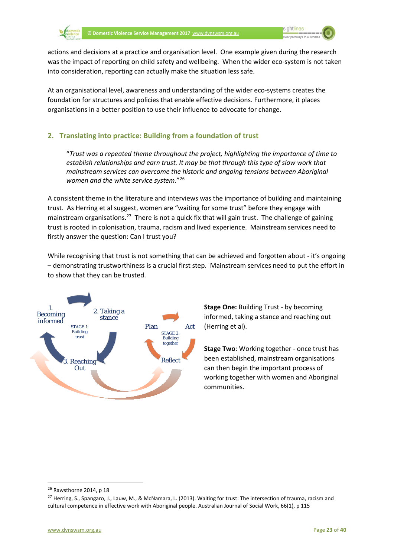actions and decisions at a practice and organisation level. One example given during the research was the impact of reporting on child safety and wellbeing. When the wider eco-system is not taken into consideration, reporting can actually make the situation less safe.

At an organisational level, awareness and understanding of the wider eco-systems creates the foundation for structures and policies that enable effective decisions. Furthermore, it places organisations in a better position to use their influence to advocate for change.

#### <span id="page-24-0"></span>**2. Translating into practice: Building from a foundation of trust**

"*Trust was a repeated theme throughout the project, highlighting the importance of time to establish relationships and earn trust. It may be that through this type of slow work that mainstream services can overcome the historic and ongoing tensions between Aboriginal women and the white service system.*"[26](#page-24-1)

A consistent theme in the literature and interviews was the importance of building and maintaining trust. As Herring et al suggest, women are "waiting for some trust" before they engage with mainstream organisations.<sup>[27](#page-24-2)</sup> There is not a quick fix that will gain trust. The challenge of gaining trust is rooted in colonisation, trauma, racism and lived experience. Mainstream services need to firstly answer the question: Can I trust you?

While recognising that trust is not something that can be achieved and forgotten about - it's ongoing – demonstrating trustworthiness is a crucial first step. Mainstream services need to put the effort in to show that they can be trusted.



**Stage One:** Building Trust - by becoming informed, taking a stance and reaching out (Herring et al).

**Stage Two**: Working together - once trust has been established, mainstream organisations can then begin the important process of working together with women and Aboriginal communities.

<span id="page-24-1"></span> <sup>26</sup> Rawsthorne 2014, p 18

<span id="page-24-2"></span><sup>&</sup>lt;sup>27</sup> Herring, S., Spangaro, J., Lauw, M., & McNamara, L. (2013). Waiting for trust: The intersection of trauma, racism and cultural competence in effective work with Aboriginal people. Australian Journal of Social Work, 66(1), p 115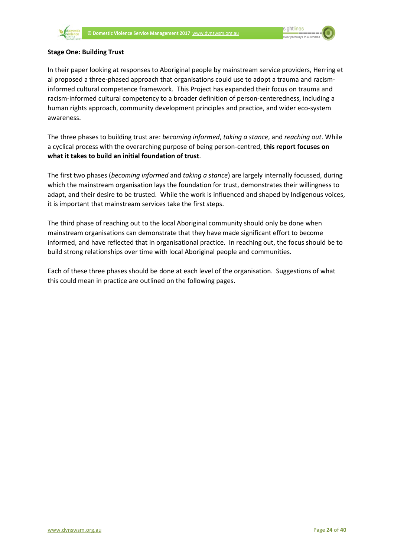

#### **Stage One: Building Trust**

In their paper looking at responses to Aboriginal people by mainstream service providers, Herring et al proposed a three-phased approach that organisations could use to adopt a trauma and racisminformed cultural competence framework. This Project has expanded their focus on trauma and racism-informed cultural competency to a broader definition of person-centeredness, including a human rights approach, community development principles and practice, and wider eco-system awareness.

The three phases to building trust are: *becoming informed*, *taking a stance*, and *reaching out*. While a cyclical process with the overarching purpose of being person-centred, **this report focuses on what it takes to build an initial foundation of trust**.

The first two phases (*becoming informed* and *taking a stance*) are largely internally focussed, during which the mainstream organisation lays the foundation for trust, demonstrates their willingness to adapt, and their desire to be trusted. While the work is influenced and shaped by Indigenous voices, it is important that mainstream services take the first steps.

The third phase of reaching out to the local Aboriginal community should only be done when mainstream organisations can demonstrate that they have made significant effort to become informed, and have reflected that in organisational practice. In reaching out, the focus should be to build strong relationships over time with local Aboriginal people and communities.

Each of these three phases should be done at each level of the organisation. Suggestions of what this could mean in practice are outlined on the following pages.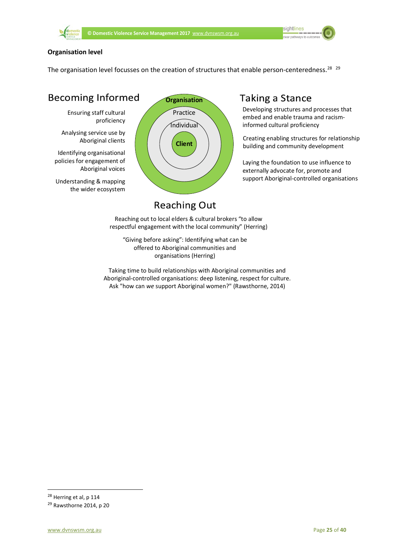

#### **Organisation level**

The organisation level focusses on the creation of structures that enable person-centeredness.<sup>28</sup><sup>[29](#page-26-1)</sup>

# **Becoming Informed**

Ensuring staff cultural proficiency

Analysing service use by Aboriginal clients

Identifying organisational policies for engagement of Aboriginal voices

Understanding & mapping the wider ecosystem



# **Taking a Stance**

Developing structures and processes that embed and enable trauma and racisminformed cultural proficiency

Creating enabling structures for relationship building and community development

Laying the foundation to use influence to externally advocate for, promote and support Aboriginal-controlled organisations

# **Reaching Out**

Reaching out to local elders & cultural brokers "to allow respectful engagement with the local community" (Herring)

"Giving before asking": Identifying what can be offered to Aboriginal communities and organisations (Herring)

Taking time to build relationships with Aboriginal communities and Aboriginal-controlled organisations: deep listening, respect for culture. Ask "how can *we* support Aboriginal women?" (Rawsthorne, 2014)

<span id="page-26-0"></span> <sup>28</sup> Herring et al, p 114

<span id="page-26-1"></span><sup>29</sup> Rawsthorne 2014, p 20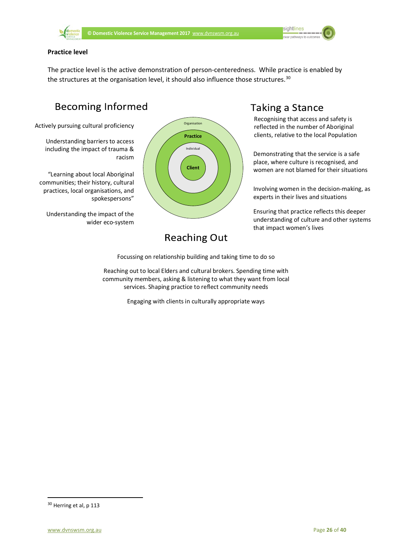

sightlines 

#### **Practice level**

The practice level is the active demonstration of person-centeredness. While practice is enabled by the structures at the organisation level, it should also influence those structures. $30$ 

# **Becoming Informed**

Actively pursuing cultural proficiency

Understanding barriers to access including the impact of trauma & racism

"Learning about local Aboriginal communities; their history, cultural practices, local organisations, and spokespersons"

Understanding the impact of the wider eco-system



## **Taking a Stance** Recognising that access and safety is

reflected in the number of Aboriginal clients, relative to the local Population

Demonstrating that the service is a safe place, where culture is recognised, and women are not blamed for their situations

Involving women in the decision-making, as experts in their lives and situations

Ensuring that practice reflects this deeper understanding of culture and other systems that impact women's lives

# **Reaching Out**

Focussing on relationship building and taking time to do so

Reaching out to local Elders and cultural brokers. Spending time with community members, asking & listening to what they want from local services. Shaping practice to reflect community needs

Engaging with clients in culturally appropriate ways

<span id="page-27-0"></span><sup>&</sup>lt;sup>30</sup> Herring et al, p 113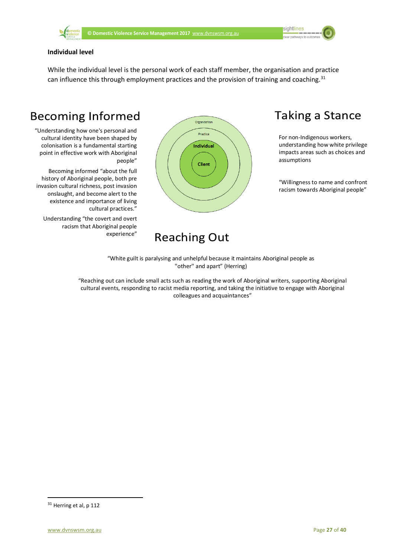

#### **Individual level**

While the individual level is the personal work of each staff member, the organisation and practice can influence this through employment practices and the provision of training and coaching.<sup>[31](#page-28-0)</sup>

# **Becoming Informed**

"Understanding how one's personal and cultural identity have been shaped by colonisation is a fundamental starting point in effective work with Aboriginal people"

Becoming informed "about the full history of Aboriginal people, both pre invasion cultural richness, post invasion onslaught, and become alert to the existence and importance of living cultural practices."

Understanding "the covert and overt racism that Aboriginal people experience"



# **Reaching Out**

# **Taking a Stance**

For non-Indigenous workers, understanding how white privilege impacts areas such as choices and assumptions

"Willingness to name and confront racism towards Aboriginal people"

"White guilt is paralysing and unhelpful because it maintains Aboriginal people as "other" and apart" (Herring)

"Reaching out can include small acts such as reading the work of Aboriginal writers, supporting Aboriginal cultural events, responding to racist media reporting, and taking the initiative to engage with Aboriginal colleagues and acquaintances"

<span id="page-28-0"></span><sup>&</sup>lt;sup>31</sup> Herring et al, p 112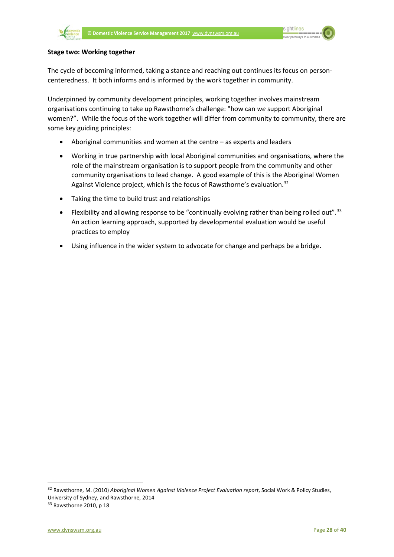#### **Stage two: Working together**

The cycle of becoming informed, taking a stance and reaching out continues its focus on personcenteredness. It both informs and is informed by the work together in community.

Underpinned by community development principles, working together involves mainstream organisations continuing to take up Rawsthorne's challenge: "how can *we* support Aboriginal women?". While the focus of the work together will differ from community to community, there are some key guiding principles:

- Aboriginal communities and women at the centre as experts and leaders
- Working in true partnership with local Aboriginal communities and organisations, where the role of the mainstream organisation is to support people from the community and other community organisations to lead change. A good example of this is the Aboriginal Women Against Violence project, which is the focus of Rawsthorne's evaluation.<sup>[32](#page-29-0)</sup>
- Taking the time to build trust and relationships
- Flexibility and allowing response to be "continually evolving rather than being rolled out".<sup>[33](#page-29-1)</sup> An action learning approach, supported by developmental evaluation would be useful practices to employ
- Using influence in the wider system to advocate for change and perhaps be a bridge.

<span id="page-29-0"></span> 32 Rawsthorne, M. (2010) *Aboriginal Women Against Violence Project Evaluation report*, Social Work & Policy Studies, University of Sydney, and Rawsthorne, 2014

<span id="page-29-1"></span> $33$  Rawsthorne 2010, p 18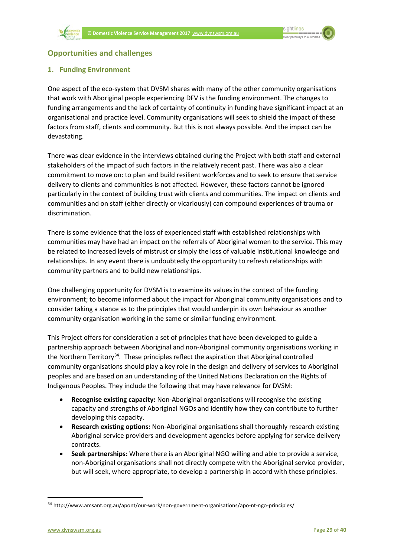<span id="page-30-0"></span>

#### <span id="page-30-1"></span>**1. Funding Environment**

One aspect of the eco-system that DVSM shares with many of the other community organisations that work with Aboriginal people experiencing DFV is the funding environment. The changes to funding arrangements and the lack of certainty of continuity in funding have significant impact at an organisational and practice level. Community organisations will seek to shield the impact of these factors from staff, clients and community. But this is not always possible. And the impact can be devastating.

There was clear evidence in the interviews obtained during the Project with both staff and external stakeholders of the impact of such factors in the relatively recent past. There was also a clear commitment to move on: to plan and build resilient workforces and to seek to ensure that service delivery to clients and communities is not affected. However, these factors cannot be ignored particularly in the context of building trust with clients and communities. The impact on clients and communities and on staff (either directly or vicariously) can compound experiences of trauma or discrimination.

There is some evidence that the loss of experienced staff with established relationships with communities may have had an impact on the referrals of Aboriginal women to the service. This may be related to increased levels of mistrust or simply the loss of valuable institutional knowledge and relationships. In any event there is undoubtedly the opportunity to refresh relationships with community partners and to build new relationships.

One challenging opportunity for DVSM is to examine its values in the context of the funding environment; to become informed about the impact for Aboriginal community organisations and to consider taking a stance as to the principles that would underpin its own behaviour as another community organisation working in the same or similar funding environment.

This Project offers for consideration a set of principles that have been developed to guide a partnership approach between Aboriginal and non-Aboriginal community organisations working in the Northern Territory<sup>[34](#page-30-2)</sup>. These principles reflect the aspiration that Aboriginal controlled community organisations should play a key role in the design and delivery of services to Aboriginal peoples and are based on an understanding of the United Nations Declaration on the Rights of Indigenous Peoples. They include the following that may have relevance for DVSM:

- **Recognise existing capacity:** Non-Aboriginal organisations will recognise the existing capacity and strengths of Aboriginal NGOs and identify how they can contribute to further developing this capacity.
- **Research existing options:** Non-Aboriginal organisations shall thoroughly research existing Aboriginal service providers and development agencies before applying for service delivery contracts.
- **Seek partnerships:** Where there is an Aboriginal NGO willing and able to provide a service, non-Aboriginal organisations shall not directly compete with the Aboriginal service provider, but will seek, where appropriate, to develop a partnership in accord with these principles.

<span id="page-30-2"></span> <sup>34</sup> <http://www.amsant.org.au/apont/our-work/non-government-organisations/apo-nt-ngo-principles/>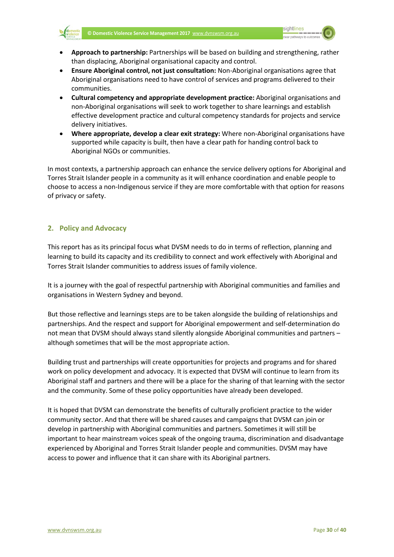

- **Approach to partnership:** Partnerships will be based on building and strengthening, rather than displacing, Aboriginal organisational capacity and control.
- **Ensure Aboriginal control, not just consultation:** Non-Aboriginal organisations agree that Aboriginal organisations need to have control of services and programs delivered to their communities.
- **Cultural competency and appropriate development practice:** Aboriginal organisations and non-Aboriginal organisations will seek to work together to share learnings and establish effective development practice and cultural competency standards for projects and service delivery initiatives.
- **Where appropriate, develop a clear exit strategy:** Where non-Aboriginal organisations have supported while capacity is built, then have a clear path for handing control back to Aboriginal NGOs or communities.

In most contexts, a partnership approach can enhance the service delivery options for Aboriginal and Torres Strait Islander people in a community as it will enhance coordination and enable people to choose to access a non-Indigenous service if they are more comfortable with that option for reasons of privacy or safety.

#### <span id="page-31-0"></span>**2. Policy and Advocacy**

This report has as its principal focus what DVSM needs to do in terms of reflection, planning and learning to build its capacity and its credibility to connect and work effectively with Aboriginal and Torres Strait Islander communities to address issues of family violence.

It is a journey with the goal of respectful partnership with Aboriginal communities and families and organisations in Western Sydney and beyond.

But those reflective and learnings steps are to be taken alongside the building of relationships and partnerships. And the respect and support for Aboriginal empowerment and self-determination do not mean that DVSM should always stand silently alongside Aboriginal communities and partners – although sometimes that will be the most appropriate action.

Building trust and partnerships will create opportunities for projects and programs and for shared work on policy development and advocacy. It is expected that DVSM will continue to learn from its Aboriginal staff and partners and there will be a place for the sharing of that learning with the sector and the community. Some of these policy opportunities have already been developed.

It is hoped that DVSM can demonstrate the benefits of culturally proficient practice to the wider community sector. And that there will be shared causes and campaigns that DVSM can join or develop in partnership with Aboriginal communities and partners. Sometimes it will still be important to hear mainstream voices speak of the ongoing trauma, discrimination and disadvantage experienced by Aboriginal and Torres Strait Islander people and communities. DVSM may have access to power and influence that it can share with its Aboriginal partners.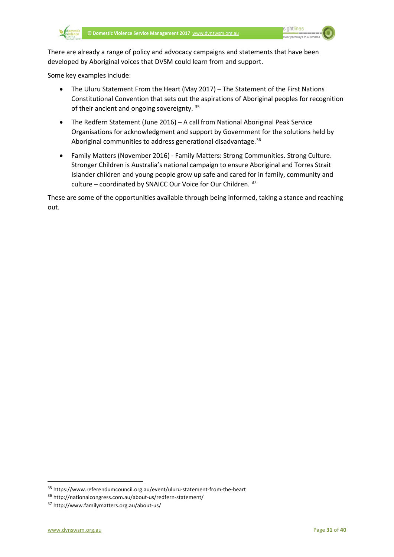

There are already a range of policy and advocacy campaigns and statements that have been developed by Aboriginal voices that DVSM could learn from and support.

Some key examples include:

- The Uluru Statement From the Heart (May 2017) The Statement of the First Nations Constitutional Convention that sets out the aspirations of Aboriginal peoples for recognition of their ancient and ongoing sovereignty.<sup>[35](#page-32-0)</sup>
- The Redfern Statement (June 2016) A call from National Aboriginal Peak Service Organisations for acknowledgment and support by Government for the solutions held by Aboriginal communities to address generational disadvantage.<sup>36</sup>
- Family Matters (November 2016) Family Matters: Strong Communities. Strong Culture. Stronger Children is Australia's national campaign to ensure Aboriginal and Torres Strait Islander children and young people grow up safe and cared for in family, community and culture – coordinated by SNAICC Our Voice for Our Children. [37](#page-32-2)

These are some of the opportunities available through being informed, taking a stance and reaching out.

<span id="page-32-0"></span> <sup>35</sup> https://www.referendumcouncil.org.au/event/uluru-statement-from-the-heart

<span id="page-32-1"></span><sup>36</sup> http://nationalcongress.com.au/about-us/redfern-statement/

<span id="page-32-2"></span><sup>37</sup> http://www.familymatters.org.au/about-us/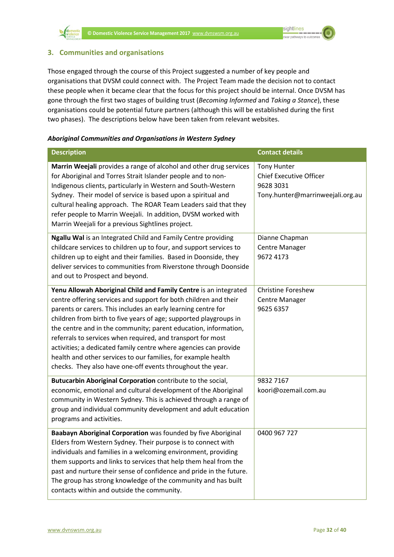

#### <span id="page-33-0"></span>**3. Communities and organisations**

Those engaged through the course of this Project suggested a number of key people and organisations that DVSM could connect with. The Project Team made the decision not to contact these people when it became clear that the focus for this project should be internal. Once DVSM has gone through the first two stages of building trust (*Becoming Informed* and *Taking a Stance*), these organisations could be potential future partners (although this will be established during the first two phases). The descriptions below have been taken from relevant websites.

#### *Aboriginal Communities and Organisations in Western Sydney*

| <b>Description</b>                                                                                                                                                                                                                                                                                                                                                                                                                                                                                                                                                                                              | <b>Contact details</b>                                                                                |
|-----------------------------------------------------------------------------------------------------------------------------------------------------------------------------------------------------------------------------------------------------------------------------------------------------------------------------------------------------------------------------------------------------------------------------------------------------------------------------------------------------------------------------------------------------------------------------------------------------------------|-------------------------------------------------------------------------------------------------------|
| Marrin Weejali provides a range of alcohol and other drug services<br>for Aboriginal and Torres Strait Islander people and to non-<br>Indigenous clients, particularly in Western and South-Western<br>Sydney. Their model of service is based upon a spiritual and<br>cultural healing approach. The ROAR Team Leaders said that they<br>refer people to Marrin Weejali. In addition, DVSM worked with<br>Marrin Weejali for a previous Sightlines project.                                                                                                                                                    | <b>Tony Hunter</b><br><b>Chief Executive Officer</b><br>9628 3031<br>Tony.hunter@marrinweejali.org.au |
| Ngallu Wal is an Integrated Child and Family Centre providing<br>childcare services to children up to four, and support services to<br>children up to eight and their families. Based in Doonside, they<br>deliver services to communities from Riverstone through Doonside<br>and out to Prospect and beyond.                                                                                                                                                                                                                                                                                                  | Dianne Chapman<br>Centre Manager<br>9672 4173                                                         |
| Yenu Allowah Aboriginal Child and Family Centre is an integrated<br>centre offering services and support for both children and their<br>parents or carers. This includes an early learning centre for<br>children from birth to five years of age; supported playgroups in<br>the centre and in the community; parent education, information,<br>referrals to services when required, and transport for most<br>activities; a dedicated family centre where agencies can provide<br>health and other services to our families, for example health<br>checks. They also have one-off events throughout the year. | <b>Christine Foreshew</b><br><b>Centre Manager</b><br>9625 6357                                       |
| Butucarbin Aboriginal Corporation contribute to the social,<br>economic, emotional and cultural development of the Aboriginal<br>community in Western Sydney. This is achieved through a range of<br>group and individual community development and adult education<br>programs and activities.                                                                                                                                                                                                                                                                                                                 | 9832 7167<br>koori@ozemail.com.au                                                                     |
| Baabayn Aboriginal Corporation was founded by five Aboriginal<br>Elders from Western Sydney. Their purpose is to connect with<br>individuals and families in a welcoming environment, providing<br>them supports and links to services that help them heal from the<br>past and nurture their sense of confidence and pride in the future.<br>The group has strong knowledge of the community and has built<br>contacts within and outside the community.                                                                                                                                                       | 0400 967 727                                                                                          |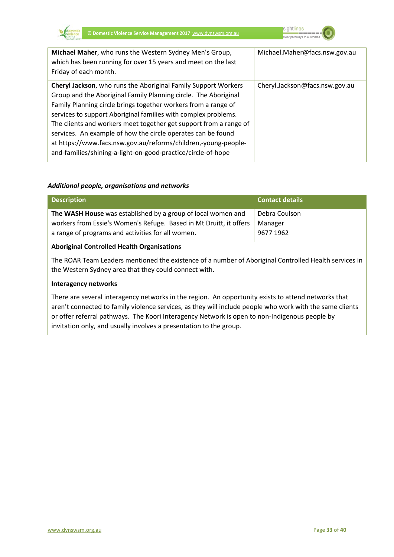



| Michael Maher, who runs the Western Sydney Men's Group,<br>which has been running for over 15 years and meet on the last<br>Friday of each month.                                                                                                                                                                                                                                                                                                                                                                                            | Michael.Maher@facs.nsw.gov.au  |
|----------------------------------------------------------------------------------------------------------------------------------------------------------------------------------------------------------------------------------------------------------------------------------------------------------------------------------------------------------------------------------------------------------------------------------------------------------------------------------------------------------------------------------------------|--------------------------------|
| Cheryl Jackson, who runs the Aboriginal Family Support Workers<br>Group and the Aboriginal Family Planning circle. The Aboriginal<br>Family Planning circle brings together workers from a range of<br>services to support Aboriginal families with complex problems.<br>The clients and workers meet together get support from a range of<br>services. An example of how the circle operates can be found<br>at https://www.facs.nsw.gov.au/reforms/children,-young-people-<br>and-families/shining-a-light-on-good-practice/circle-of-hope | Cheryl.Jackson@facs.nsw.gov.au |

#### *Additional people, organisations and networks*

| <b>Description</b>                                                                                                                                                                      | <b>Contact details</b>                |
|-----------------------------------------------------------------------------------------------------------------------------------------------------------------------------------------|---------------------------------------|
| The WASH House was established by a group of local women and<br>workers from Essie's Women's Refuge. Based in Mt Druitt, it offers<br>a range of programs and activities for all women. | Debra Coulson<br>Manager<br>9677 1962 |
| <b>Aboriginal Controlled Health Organisations</b>                                                                                                                                       |                                       |

### The ROAR Team Leaders mentioned the existence of a number of Aboriginal Controlled Health services in the Western Sydney area that they could connect with.

#### **Interagency networks**

There are several interagency networks in the region. An opportunity exists to attend networks that aren't connected to family violence services, as they will include people who work with the same clients or offer referral pathways. The Koori Interagency Network is open to non-Indigenous people by invitation only, and usually involves a presentation to the group.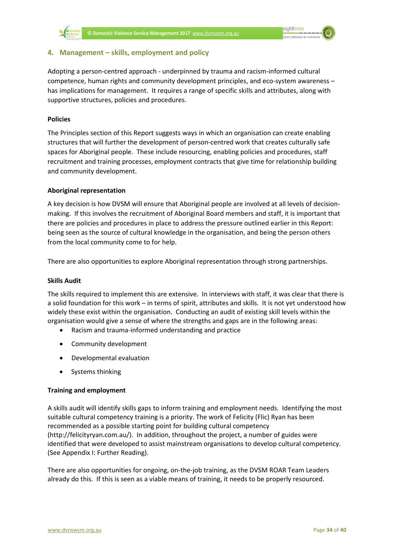

#### <span id="page-35-0"></span>**4. Management – skills, employment and policy**

Adopting a person-centred approach - underpinned by trauma and racism-informed cultural competence, human rights and community development principles, and eco-system awareness – has implications for management. It requires a range of specific skills and attributes, along with supportive structures, policies and procedures.

#### **Policies**

The Principles section of this Report suggests ways in which an organisation can create enabling structures that will further the development of person-centred work that creates culturally safe spaces for Aboriginal people. These include resourcing, enabling policies and procedures, staff recruitment and training processes, employment contracts that give time for relationship building and community development.

#### **Aboriginal representation**

A key decision is how DVSM will ensure that Aboriginal people are involved at all levels of decisionmaking. If this involves the recruitment of Aboriginal Board members and staff, it is important that there are policies and procedures in place to address the pressure outlined earlier in this Report: being seen as the source of cultural knowledge in the organisation, and being the person others from the local community come to for help.

There are also opportunities to explore Aboriginal representation through strong partnerships.

#### **Skills Audit**

The skills required to implement this are extensive. In interviews with staff, it was clear that there is a solid foundation for this work – in terms of spirit, attributes and skills. It is not yet understood how widely these exist within the organisation. Conducting an audit of existing skill levels within the organisation would give a sense of where the strengths and gaps are in the following areas:

- Racism and trauma-informed understanding and practice
- Community development
- Developmental evaluation
- Systems thinking

#### **Training and employment**

A skills audit will identify skills gaps to inform training and employment needs. Identifying the most suitable cultural competency training is a priority. The work of Felicity (Flic) Ryan has been recommended as a possible starting point for building cultural competency [\(http://felicityryan.com.au/\)](http://felicityryan.com.au/). In addition, throughout the project, a number of guides were identified that were developed to assist mainstream organisations to develop cultural competency. (See Appendix I: Further Reading).

There are also opportunities for ongoing, on-the-job training, as the DVSM ROAR Team Leaders already do this. If this is seen as a viable means of training, it needs to be properly resourced.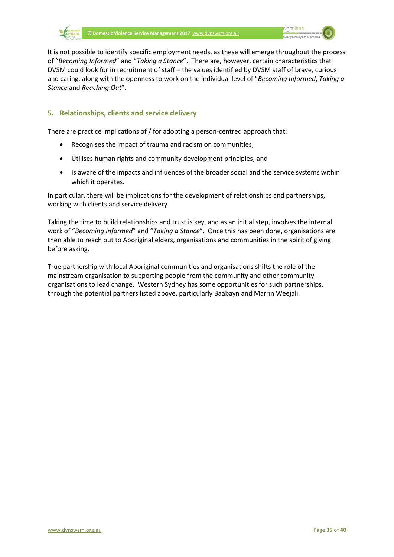

It is not possible to identify specific employment needs, as these will emerge throughout the process of "*Becoming Informed*" and "*Taking a Stance*". There are, however, certain characteristics that DVSM could look for in recruitment of staff – the values identified by DVSM staff of brave, curious and caring, along with the openness to work on the individual level of "*Becoming Informed*, *Taking a Stance* and *Reaching Out*".

#### <span id="page-36-0"></span>**5. Relationships, clients and service delivery**

There are practice implications of / for adopting a person-centred approach that:

- Recognises the impact of trauma and racism on communities;
- Utilises human rights and community development principles; and
- Is aware of the impacts and influences of the broader social and the service systems within which it operates.

In particular, there will be implications for the development of relationships and partnerships, working with clients and service delivery.

Taking the time to build relationships and trust is key, and as an initial step, involves the internal work of "*Becoming Informed*" and "*Taking a Stance*". Once this has been done, organisations are then able to reach out to Aboriginal elders, organisations and communities in the spirit of giving before asking.

True partnership with local Aboriginal communities and organisations shifts the role of the mainstream organisation to supporting people from the community and other community organisations to lead change. Western Sydney has some opportunities for such partnerships, through the potential partners listed above, particularly Baabayn and Marrin Weejali.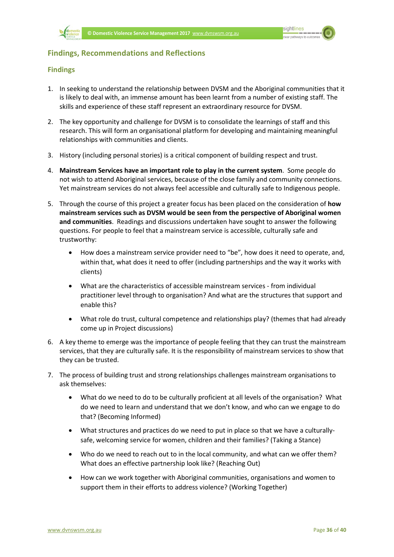

#### <span id="page-37-0"></span>**Findings, Recommendations and Reflections**

#### <span id="page-37-1"></span>**Findings**

- 1. In seeking to understand the relationship between DVSM and the Aboriginal communities that it is likely to deal with, an immense amount has been learnt from a number of existing staff. The skills and experience of these staff represent an extraordinary resource for DVSM.
- 2. The key opportunity and challenge for DVSM is to consolidate the learnings of staff and this research. This will form an organisational platform for developing and maintaining meaningful relationships with communities and clients.
- 3. History (including personal stories) is a critical component of building respect and trust.
- 4. **Mainstream Services have an important role to play in the current system**. Some people do not wish to attend Aboriginal services, because of the close family and community connections. Yet mainstream services do not always feel accessible and culturally safe to Indigenous people.
- 5. Through the course of this project a greater focus has been placed on the consideration of **how mainstream services such as DVSM would be seen from the perspective of Aboriginal women and communities**. Readings and discussions undertaken have sought to answer the following questions. For people to feel that a mainstream service is accessible, culturally safe and trustworthy:
	- How does a mainstream service provider need to "be", how does it need to operate, and, within that, what does it need to offer (including partnerships and the way it works with clients)
	- What are the characteristics of accessible mainstream services from individual practitioner level through to organisation? And what are the structures that support and enable this?
	- What role do trust, cultural competence and relationships play? (themes that had already come up in Project discussions)
- 6. A key theme to emerge was the importance of people feeling that they can trust the mainstream services, that they are culturally safe. It is the responsibility of mainstream services to show that they can be trusted.
- 7. The process of building trust and strong relationships challenges mainstream organisations to ask themselves:
	- What do we need to do to be culturally proficient at all levels of the organisation? What do we need to learn and understand that we don't know, and who can we engage to do that? (Becoming Informed)
	- What structures and practices do we need to put in place so that we have a culturallysafe, welcoming service for women, children and their families? (Taking a Stance)
	- Who do we need to reach out to in the local community, and what can we offer them? What does an effective partnership look like? (Reaching Out)
	- How can we work together with Aboriginal communities, organisations and women to support them in their efforts to address violence? (Working Together)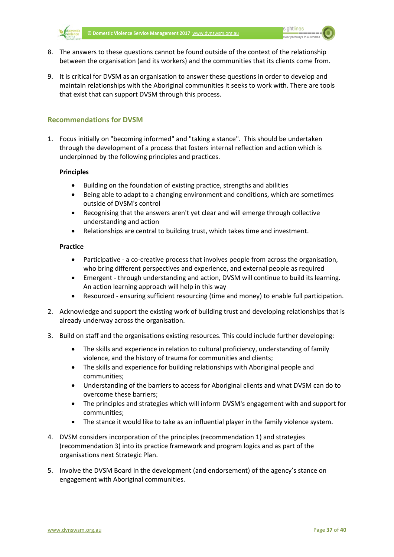

- 8. The answers to these questions cannot be found outside of the context of the relationship between the organisation (and its workers) and the communities that its clients come from.
- 9. It is critical for DVSM as an organisation to answer these questions in order to develop and maintain relationships with the Aboriginal communities it seeks to work with. There are tools that exist that can support DVSM through this process.

#### <span id="page-38-0"></span>**Recommendations for DVSM**

1. Focus initially on "becoming informed" and "taking a stance". This should be undertaken through the development of a process that fosters internal reflection and action which is underpinned by the following principles and practices.

#### **Principles**

- Building on the foundation of existing practice, strengths and abilities
- Being able to adapt to a changing environment and conditions, which are sometimes outside of DVSM's control
- Recognising that the answers aren't yet clear and will emerge through collective understanding and action
- Relationships are central to building trust, which takes time and investment.

#### **Practice**

- Participative a co-creative process that involves people from across the organisation, who bring different perspectives and experience, and external people as required
- Emergent through understanding and action, DVSM will continue to build its learning. An action learning approach will help in this way
- Resourced ensuring sufficient resourcing (time and money) to enable full participation.
- 2. Acknowledge and support the existing work of building trust and developing relationships that is already underway across the organisation.
- 3. Build on staff and the organisations existing resources. This could include further developing:
	- The skills and experience in relation to cultural proficiency, understanding of family violence, and the history of trauma for communities and clients;
	- The skills and experience for building relationships with Aboriginal people and communities;
	- Understanding of the barriers to access for Aboriginal clients and what DVSM can do to overcome these barriers;
	- The principles and strategies which will inform DVSM's engagement with and support for communities;
	- The stance it would like to take as an influential player in the family violence system.
- 4. DVSM considers incorporation of the principles (recommendation 1) and strategies (recommendation 3) into its practice framework and program logics and as part of the organisations next Strategic Plan.
- 5. Involve the DVSM Board in the development (and endorsement) of the agency's stance on engagement with Aboriginal communities.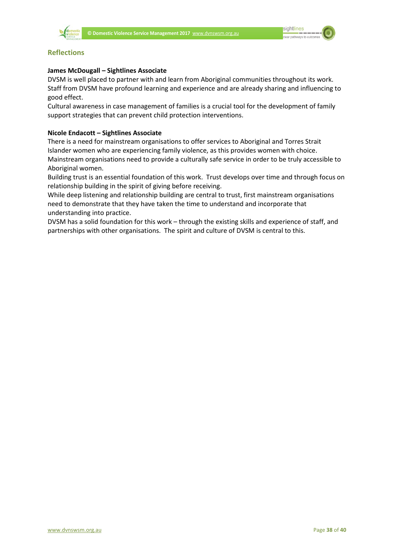

#### <span id="page-39-0"></span>**Reflections**

#### **James McDougall – Sightlines Associate**

DVSM is well placed to partner with and learn from Aboriginal communities throughout its work. Staff from DVSM have profound learning and experience and are already sharing and influencing to good effect.

Cultural awareness in case management of families is a crucial tool for the development of family support strategies that can prevent child protection interventions.

#### **Nicole Endacott – Sightlines Associate**

There is a need for mainstream organisations to offer services to Aboriginal and Torres Strait Islander women who are experiencing family violence, as this provides women with choice. Mainstream organisations need to provide a culturally safe service in order to be truly accessible to Aboriginal women.

Building trust is an essential foundation of this work. Trust develops over time and through focus on relationship building in the spirit of giving before receiving.

While deep listening and relationship building are central to trust, first mainstream organisations need to demonstrate that they have taken the time to understand and incorporate that understanding into practice.

DVSM has a solid foundation for this work – through the existing skills and experience of staff, and partnerships with other organisations. The spirit and culture of DVSM is central to this.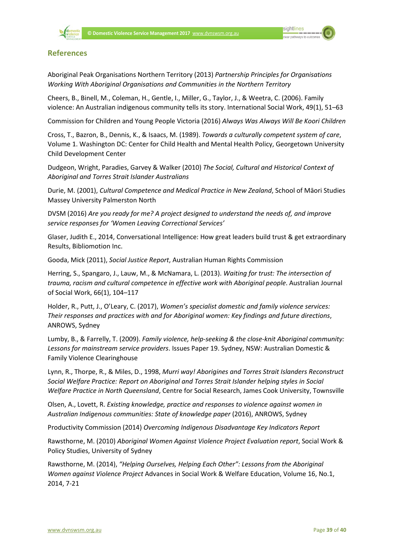

#### <span id="page-40-0"></span>**References**

Aboriginal Peak Organisations Northern Territory (2013) *Partnership Principles for Organisations Working With Aboriginal Organisations and Communities in the Northern Territory*

Cheers, B., Binell, M., Coleman, H., Gentle, I., Miller, G., Taylor, J., & Weetra, C. (2006). Family violence: An Australian indigenous community tells its story. International Social Work, 49(1), 51–63

Commission for Children and Young People Victoria (2016) *Always Was Always Will Be Koori Children*

Cross, T., Bazron, B., Dennis, K., & Isaacs, M. (1989). *Towards a culturally competent system of care*, Volume 1. Washington DC: Center for Child Health and Mental Health Policy, Georgetown University Child Development Center

Dudgeon, Wright, Paradies, Garvey & Walker (2010) *The Social, Cultural and Historical Context of Aboriginal and Torres Strait Islander Australians*

Durie, M. (2001), *Cultural Competence and Medical Practice in New Zealand*, School of Māori Studies Massey University Palmerston North

DVSM (2016) *Are you ready for me? A project designed to understand the needs of, and improve service responses for 'Women Leaving Correctional Services'*

Glaser, Judith E., 2014, Conversational Intelligence: How great leaders build trust & get extraordinary Results, Bibliomotion Inc.

Gooda, Mick (2011), *Social Justice Report*, Australian Human Rights Commission

Herring, S., Spangaro, J., Lauw, M., & McNamara, L. (2013). *Waiting for trust: The intersection of trauma, racism and cultural competence in effective work with Aboriginal people*. Australian Journal of Social Work, 66(1), 104–117

Holder, R., Putt, J., O'Leary, C. (2017), *Women's specialist domestic and family violence services: Their responses and practices with and for Aboriginal women: Key findings and future directions*, ANROWS, Sydney

Lumby, B., & Farrelly, T. (2009). *Family violence, help-seeking & the close-knit Aboriginal community: Lessons for mainstream service providers*. Issues Paper 19. Sydney, NSW: Australian Domestic & Family Violence Clearinghouse

Lynn, R., Thorpe, R., & Miles, D., 1998, *Murri way! Aborigines and Torres Strait Islanders Reconstruct Social Welfare Practice: Report on Aboriginal and Torres Strait Islander helping styles in Social Welfare Practice in North Queensland*, Centre for Social Research, James Cook University, Townsville

Olsen, A., Lovett, R. *Existing knowledge, practice and responses to violence against women in Australian Indigenous communities: State of knowledge paper* (2016), ANROWS, Sydney

Productivity Commission (2014) *Overcoming Indigenous Disadvantage Key Indicators Report*

Rawsthorne, M. (2010) *Aboriginal Women Against Violence Project Evaluation report*, Social Work & Policy Studies, University of Sydney

Rawsthorne, M. (2014), *"Helping Ourselves, Helping Each Other": Lessons from the Aboriginal Women against Violence Project* Advances in Social Work & Welfare Education, Volume 16, No.1, 2014, 7-21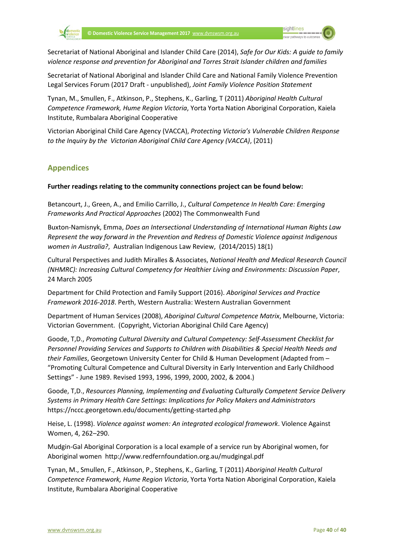Secretariat of National Aboriginal and Islander Child Care (2014), *Safe for Our Kids: A guide to family violence response and prevention for Aboriginal and Torres Strait Islander children and families*

Secretariat of National Aboriginal and Islander Child Care and National Family Violence Prevention Legal Services Forum (2017 Draft - unpublished), *Joint Family Violence Position Statement*

Tynan, M., Smullen, F., Atkinson, P., Stephens, K., Garling, T (2011) *Aboriginal Health Cultural Competence Framework, Hume Region Victoria*, Yorta Yorta Nation Aboriginal Corporation, Kaiela Institute, Rumbalara Aboriginal Cooperative

Victorian Aboriginal Child Care Agency (VACCA), *Protecting Victoria's Vulnerable Children Response to the Inquiry by the Victorian Aboriginal Child Care Agency (VACCA)*, (2011)

#### <span id="page-41-0"></span>**Appendices**

#### **Further readings relating to the community connections project can be found below:**

Betancourt, J., Green, A., and Emilio Carrillo, J., *Cultural Competence In Health Care: Emerging Frameworks And Practical Approaches* (2002) The Commonwealth Fund

Buxton-Namisnyk, Emma, *Does an Intersectional Understanding of International Human Rights Law Represent the way forward in the Prevention and Redress of Domestic Violence against Indigenous women in Australia?*, Australian Indigenous Law Review, (2014/2015) 18(1)

Cultural Perspectives and Judith Miralles & Associates, *National Health and Medical Research Council (NHMRC): Increasing Cultural Competency for Healthier Living and Environments: Discussion Paper*, 24 March 2005

Department for Child Protection and Family Support (2016). *Aboriginal Services and Practice Framework 2016-2018*. Perth, Western Australia: Western Australian Government

Department of Human Services (2008), *Aboriginal Cultural Competence Matrix*, Melbourne, Victoria: Victorian Government. (Copyright, Victorian Aboriginal Child Care Agency)

Goode, T,D., *Promoting Cultural Diversity and Cultural Competency: Self-Assessment Checklist for Personnel Providing Services and Supports to Children with Disabilities & Special Health Needs and their Families*, Georgetown University Center for Child & Human Development (Adapted from – "Promoting Cultural Competence and Cultural Diversity in Early Intervention and Early Childhood Settings" - June 1989. Revised 1993, 1996, 1999, 2000, 2002, & 2004.)

Goode, T,D., *Resources Planning, Implementing and Evaluating Culturally Competent Service Delivery Systems in Primary Health Care Settings: Implications for Policy Makers and Administrators* https://nccc.georgetown.edu/documents/getting-started.php

Heise, L. (1998). *Violence against women: An integrated ecological framework*. Violence Against Women, 4, 262–290.

Mudgin-Gal Aboriginal Corporation is a local example of a service run by Aboriginal women, for Aboriginal women http://www.redfernfoundation.org.au/mudgingal.pdf

Tynan, M., Smullen, F., Atkinson, P., Stephens, K., Garling, T (2011) *Aboriginal Health Cultural Competence Framework, Hume Region Victoria*, Yorta Yorta Nation Aboriginal Corporation, Kaiela Institute, Rumbalara Aboriginal Cooperative